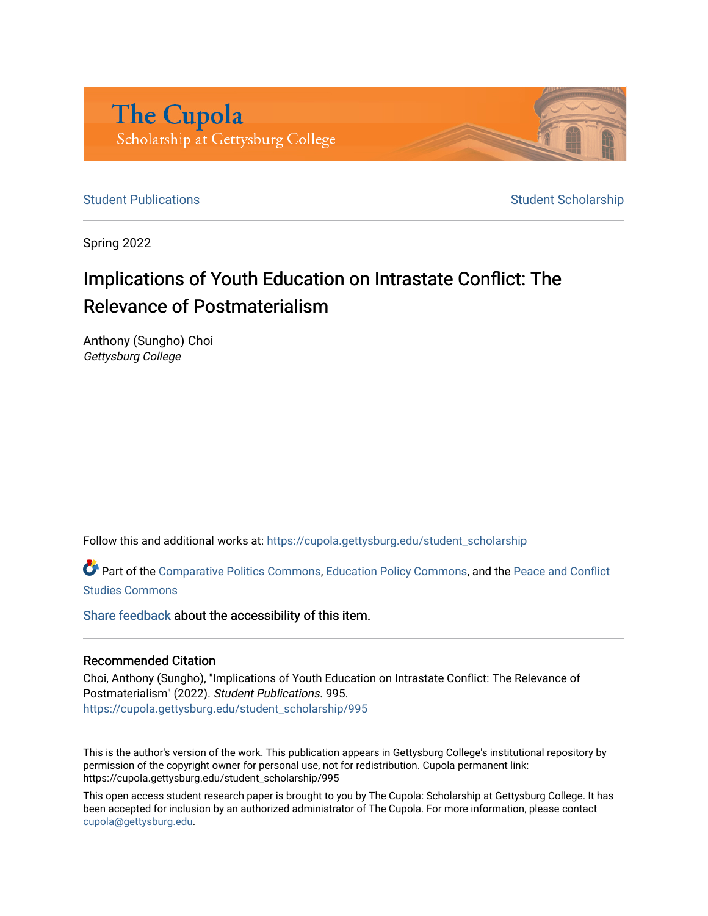

[Student Publications](https://cupola.gettysburg.edu/student_scholarship) **Student Scholarship** Student Scholarship

Spring 2022

# Implications of Youth Education on Intrastate Conflict: The Relevance of Postmaterialism

Anthony (Sungho) Choi Gettysburg College

Follow this and additional works at: [https://cupola.gettysburg.edu/student\\_scholarship](https://cupola.gettysburg.edu/student_scholarship?utm_source=cupola.gettysburg.edu%2Fstudent_scholarship%2F995&utm_medium=PDF&utm_campaign=PDFCoverPages) 

Part of the [Comparative Politics Commons,](https://network.bepress.com/hgg/discipline/388?utm_source=cupola.gettysburg.edu%2Fstudent_scholarship%2F995&utm_medium=PDF&utm_campaign=PDFCoverPages) [Education Policy Commons](https://network.bepress.com/hgg/discipline/1026?utm_source=cupola.gettysburg.edu%2Fstudent_scholarship%2F995&utm_medium=PDF&utm_campaign=PDFCoverPages), and the [Peace and Conflict](https://network.bepress.com/hgg/discipline/397?utm_source=cupola.gettysburg.edu%2Fstudent_scholarship%2F995&utm_medium=PDF&utm_campaign=PDFCoverPages)  [Studies Commons](https://network.bepress.com/hgg/discipline/397?utm_source=cupola.gettysburg.edu%2Fstudent_scholarship%2F995&utm_medium=PDF&utm_campaign=PDFCoverPages) 

[Share feedback](https://docs.google.com/a/bepress.com/forms/d/1h9eEcpBPj5POs5oO6Y5A0blXRmZqykoonyYiZUNyEq8/viewform) about the accessibility of this item.

# Recommended Citation

Choi, Anthony (Sungho), "Implications of Youth Education on Intrastate Conflict: The Relevance of Postmaterialism" (2022). Student Publications. 995. [https://cupola.gettysburg.edu/student\\_scholarship/995](https://cupola.gettysburg.edu/student_scholarship/995?utm_source=cupola.gettysburg.edu%2Fstudent_scholarship%2F995&utm_medium=PDF&utm_campaign=PDFCoverPages)

This is the author's version of the work. This publication appears in Gettysburg College's institutional repository by permission of the copyright owner for personal use, not for redistribution. Cupola permanent link: https://cupola.gettysburg.edu/student\_scholarship/995

This open access student research paper is brought to you by The Cupola: Scholarship at Gettysburg College. It has been accepted for inclusion by an authorized administrator of The Cupola. For more information, please contact [cupola@gettysburg.edu.](mailto:cupola@gettysburg.edu)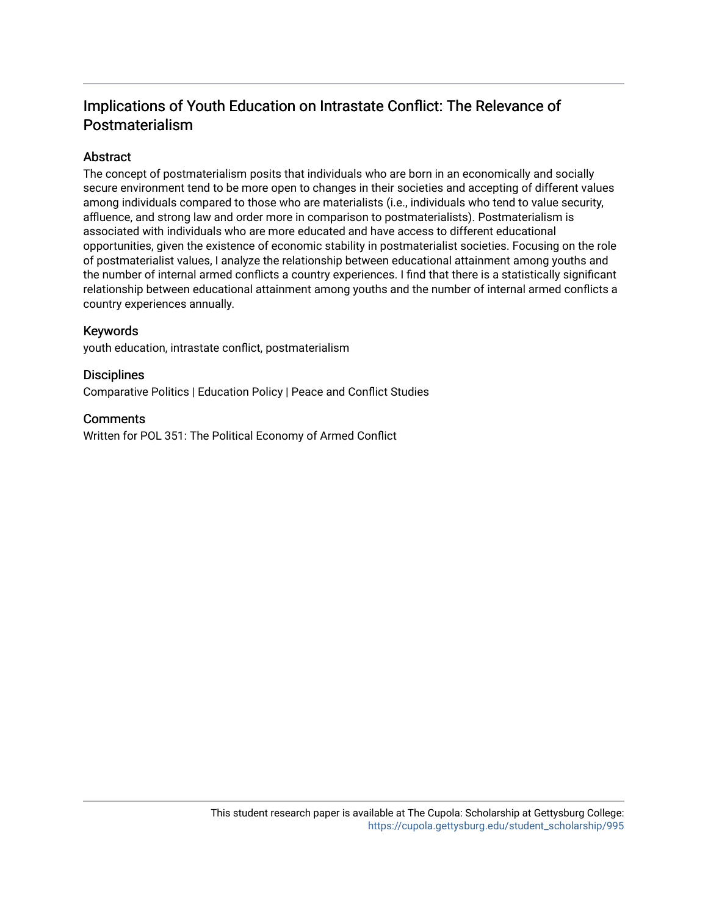# Implications of Youth Education on Intrastate Conflict: The Relevance of Postmaterialism

# Abstract

The concept of postmaterialism posits that individuals who are born in an economically and socially secure environment tend to be more open to changes in their societies and accepting of different values among individuals compared to those who are materialists (i.e., individuals who tend to value security, affluence, and strong law and order more in comparison to postmaterialists). Postmaterialism is associated with individuals who are more educated and have access to different educational opportunities, given the existence of economic stability in postmaterialist societies. Focusing on the role of postmaterialist values, I analyze the relationship between educational attainment among youths and the number of internal armed conflicts a country experiences. I find that there is a statistically significant relationship between educational attainment among youths and the number of internal armed conflicts a country experiences annually.

# Keywords

youth education, intrastate conflict, postmaterialism

# **Disciplines**

Comparative Politics | Education Policy | Peace and Conflict Studies

# **Comments**

Written for POL 351: The Political Economy of Armed Conflict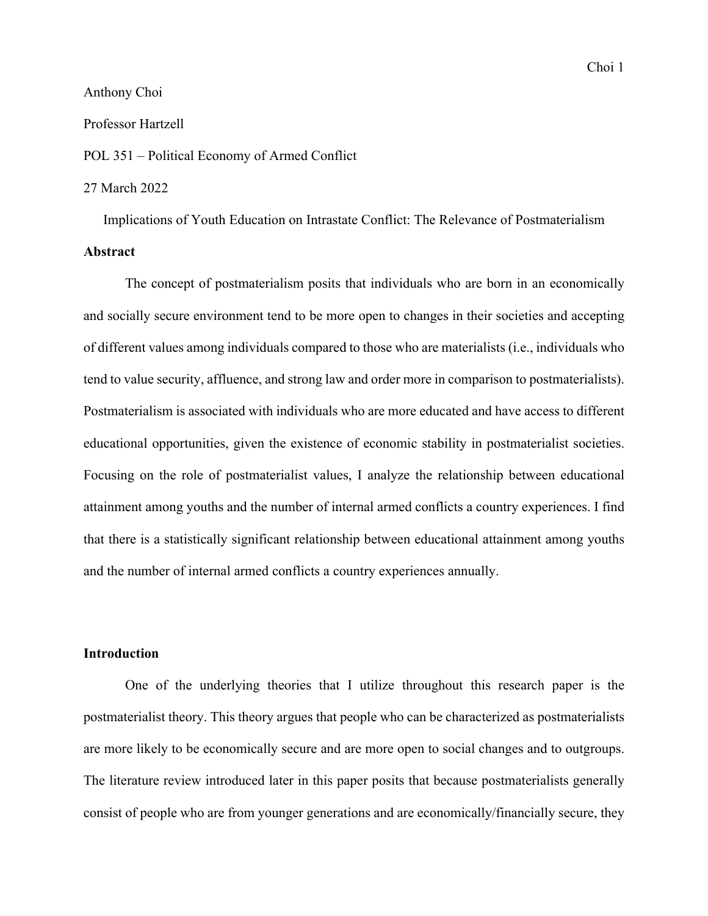#### Anthony Choi

# Professor Hartzell

#### POL 351 – Political Economy of Armed Conflict

### 27 March 2022

Implications of Youth Education on Intrastate Conflict: The Relevance of Postmaterialism

### **Abstract**

The concept of postmaterialism posits that individuals who are born in an economically and socially secure environment tend to be more open to changes in their societies and accepting of different values among individuals compared to those who are materialists (i.e., individuals who tend to value security, affluence, and strong law and order more in comparison to postmaterialists). Postmaterialism is associated with individuals who are more educated and have access to different educational opportunities, given the existence of economic stability in postmaterialist societies. Focusing on the role of postmaterialist values, I analyze the relationship between educational attainment among youths and the number of internal armed conflicts a country experiences. I find that there is a statistically significant relationship between educational attainment among youths and the number of internal armed conflicts a country experiences annually.

# **Introduction**

One of the underlying theories that I utilize throughout this research paper is the postmaterialist theory. This theory argues that people who can be characterized as postmaterialists are more likely to be economically secure and are more open to social changes and to outgroups. The literature review introduced later in this paper posits that because postmaterialists generally consist of people who are from younger generations and are economically/financially secure, they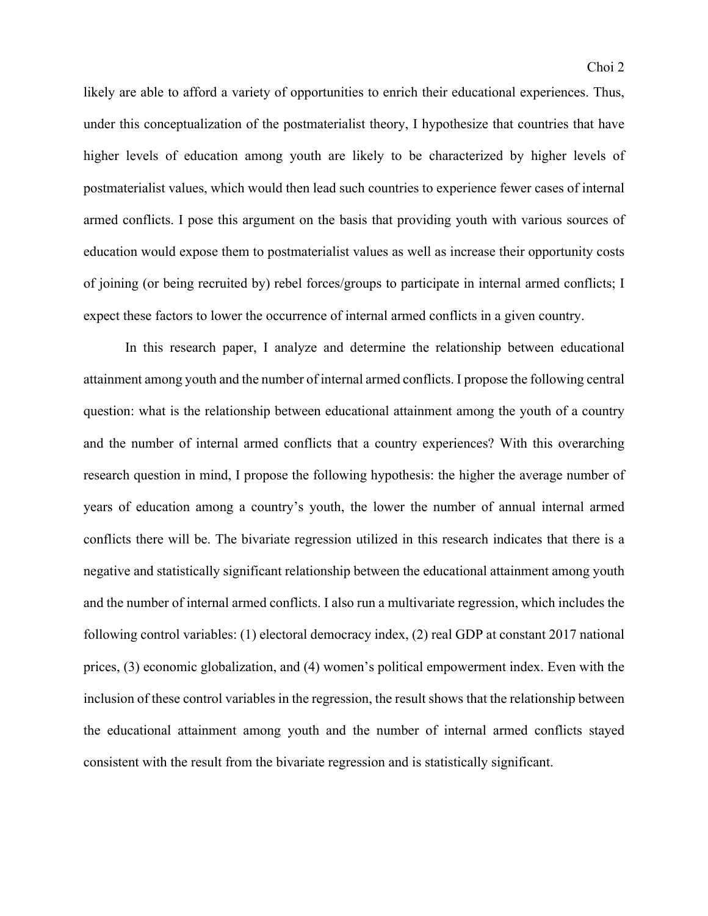likely are able to afford a variety of opportunities to enrich their educational experiences. Thus, under this conceptualization of the postmaterialist theory, I hypothesize that countries that have higher levels of education among youth are likely to be characterized by higher levels of postmaterialist values, which would then lead such countries to experience fewer cases of internal armed conflicts. I pose this argument on the basis that providing youth with various sources of education would expose them to postmaterialist values as well as increase their opportunity costs of joining (or being recruited by) rebel forces/groups to participate in internal armed conflicts; I expect these factors to lower the occurrence of internal armed conflicts in a given country.

In this research paper, I analyze and determine the relationship between educational attainment among youth and the number of internal armed conflicts. I propose the following central question: what is the relationship between educational attainment among the youth of a country and the number of internal armed conflicts that a country experiences? With this overarching research question in mind, I propose the following hypothesis: the higher the average number of years of education among a country's youth, the lower the number of annual internal armed conflicts there will be. The bivariate regression utilized in this research indicates that there is a negative and statistically significant relationship between the educational attainment among youth and the number of internal armed conflicts. I also run a multivariate regression, which includes the following control variables: (1) electoral democracy index, (2) real GDP at constant 2017 national prices, (3) economic globalization, and (4) women's political empowerment index. Even with the inclusion of these control variables in the regression, the result shows that the relationship between the educational attainment among youth and the number of internal armed conflicts stayed consistent with the result from the bivariate regression and is statistically significant.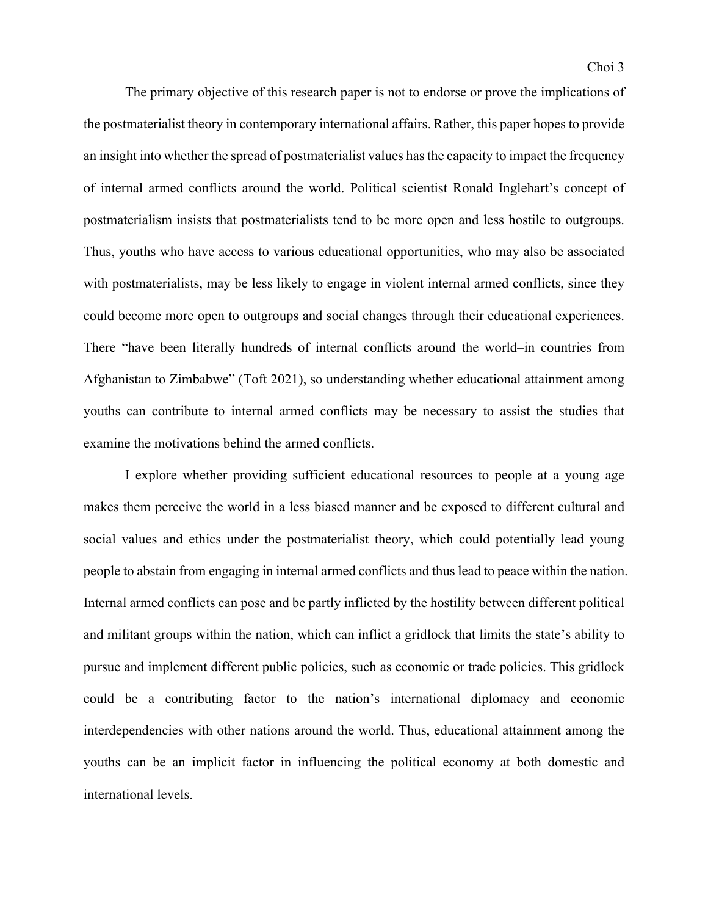The primary objective of this research paper is not to endorse or prove the implications of the postmaterialist theory in contemporary international affairs. Rather, this paper hopes to provide an insight into whether the spread of postmaterialist values has the capacity to impact the frequency of internal armed conflicts around the world. Political scientist Ronald Inglehart's concept of postmaterialism insists that postmaterialists tend to be more open and less hostile to outgroups. Thus, youths who have access to various educational opportunities, who may also be associated with postmaterialists, may be less likely to engage in violent internal armed conflicts, since they could become more open to outgroups and social changes through their educational experiences. There "have been literally hundreds of internal conflicts around the world–in countries from Afghanistan to Zimbabwe" (Toft 2021), so understanding whether educational attainment among youths can contribute to internal armed conflicts may be necessary to assist the studies that examine the motivations behind the armed conflicts.

I explore whether providing sufficient educational resources to people at a young age makes them perceive the world in a less biased manner and be exposed to different cultural and social values and ethics under the postmaterialist theory, which could potentially lead young people to abstain from engaging in internal armed conflicts and thus lead to peace within the nation. Internal armed conflicts can pose and be partly inflicted by the hostility between different political and militant groups within the nation, which can inflict a gridlock that limits the state's ability to pursue and implement different public policies, such as economic or trade policies. This gridlock could be a contributing factor to the nation's international diplomacy and economic interdependencies with other nations around the world. Thus, educational attainment among the youths can be an implicit factor in influencing the political economy at both domestic and international levels.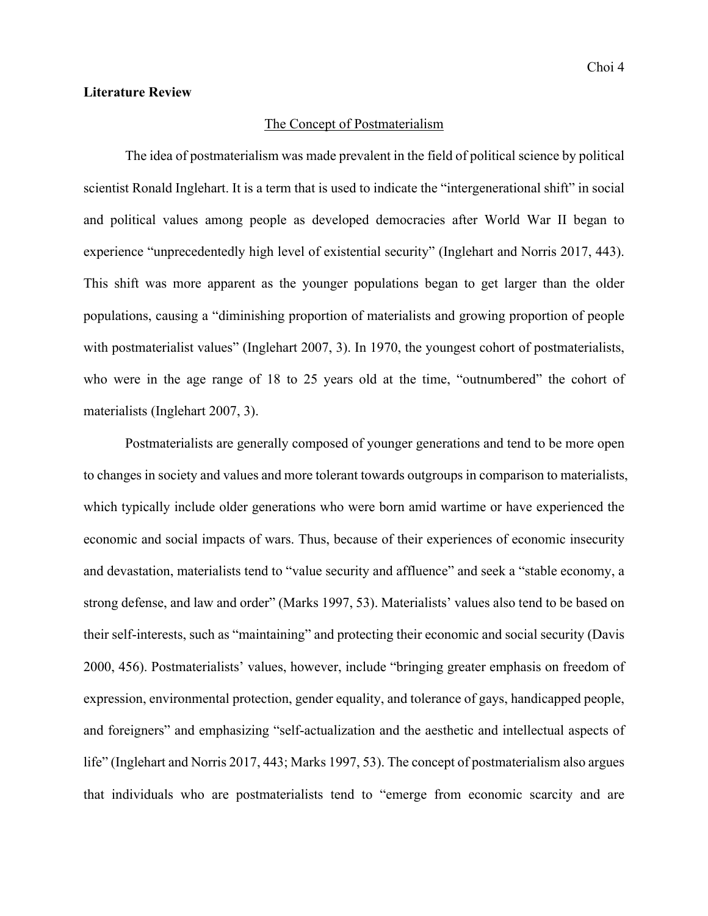# **Literature Review**

#### The Concept of Postmaterialism

The idea of postmaterialism was made prevalent in the field of political science by political scientist Ronald Inglehart. It is a term that is used to indicate the "intergenerational shift" in social and political values among people as developed democracies after World War II began to experience "unprecedentedly high level of existential security" (Inglehart and Norris 2017, 443). This shift was more apparent as the younger populations began to get larger than the older populations, causing a "diminishing proportion of materialists and growing proportion of people with postmaterialist values" (Inglehart 2007, 3). In 1970, the youngest cohort of postmaterialists, who were in the age range of 18 to 25 years old at the time, "outnumbered" the cohort of materialists (Inglehart 2007, 3).

Postmaterialists are generally composed of younger generations and tend to be more open to changes in society and values and more tolerant towards outgroups in comparison to materialists, which typically include older generations who were born amid wartime or have experienced the economic and social impacts of wars. Thus, because of their experiences of economic insecurity and devastation, materialists tend to "value security and affluence" and seek a "stable economy, a strong defense, and law and order" (Marks 1997, 53). Materialists' values also tend to be based on their self-interests, such as "maintaining" and protecting their economic and social security (Davis 2000, 456). Postmaterialists' values, however, include "bringing greater emphasis on freedom of expression, environmental protection, gender equality, and tolerance of gays, handicapped people, and foreigners" and emphasizing "self-actualization and the aesthetic and intellectual aspects of life" (Inglehart and Norris 2017, 443; Marks 1997, 53). The concept of postmaterialism also argues that individuals who are postmaterialists tend to "emerge from economic scarcity and are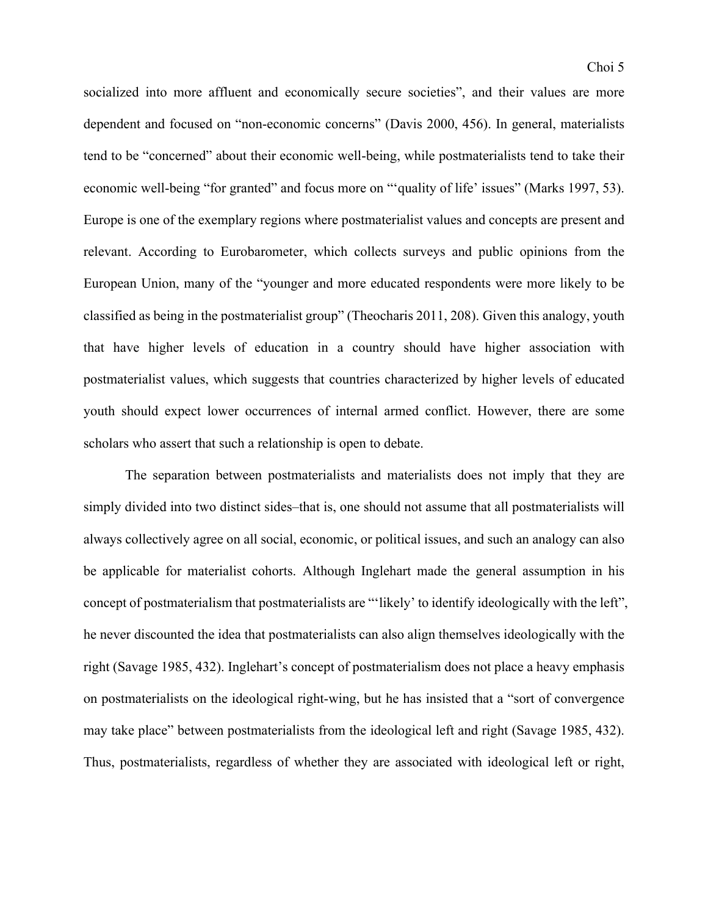socialized into more affluent and economically secure societies", and their values are more dependent and focused on "non-economic concerns" (Davis 2000, 456). In general, materialists tend to be "concerned" about their economic well-being, while postmaterialists tend to take their economic well-being "for granted" and focus more on "'quality of life' issues" (Marks 1997, 53). Europe is one of the exemplary regions where postmaterialist values and concepts are present and relevant. According to Eurobarometer, which collects surveys and public opinions from the European Union, many of the "younger and more educated respondents were more likely to be classified as being in the postmaterialist group" (Theocharis 2011, 208). Given this analogy, youth that have higher levels of education in a country should have higher association with postmaterialist values, which suggests that countries characterized by higher levels of educated youth should expect lower occurrences of internal armed conflict. However, there are some scholars who assert that such a relationship is open to debate.

The separation between postmaterialists and materialists does not imply that they are simply divided into two distinct sides–that is, one should not assume that all postmaterialists will always collectively agree on all social, economic, or political issues, and such an analogy can also be applicable for materialist cohorts. Although Inglehart made the general assumption in his concept of postmaterialism that postmaterialists are "'likely' to identify ideologically with the left", he never discounted the idea that postmaterialists can also align themselves ideologically with the right (Savage 1985, 432). Inglehart's concept of postmaterialism does not place a heavy emphasis on postmaterialists on the ideological right-wing, but he has insisted that a "sort of convergence may take place" between postmaterialists from the ideological left and right (Savage 1985, 432). Thus, postmaterialists, regardless of whether they are associated with ideological left or right,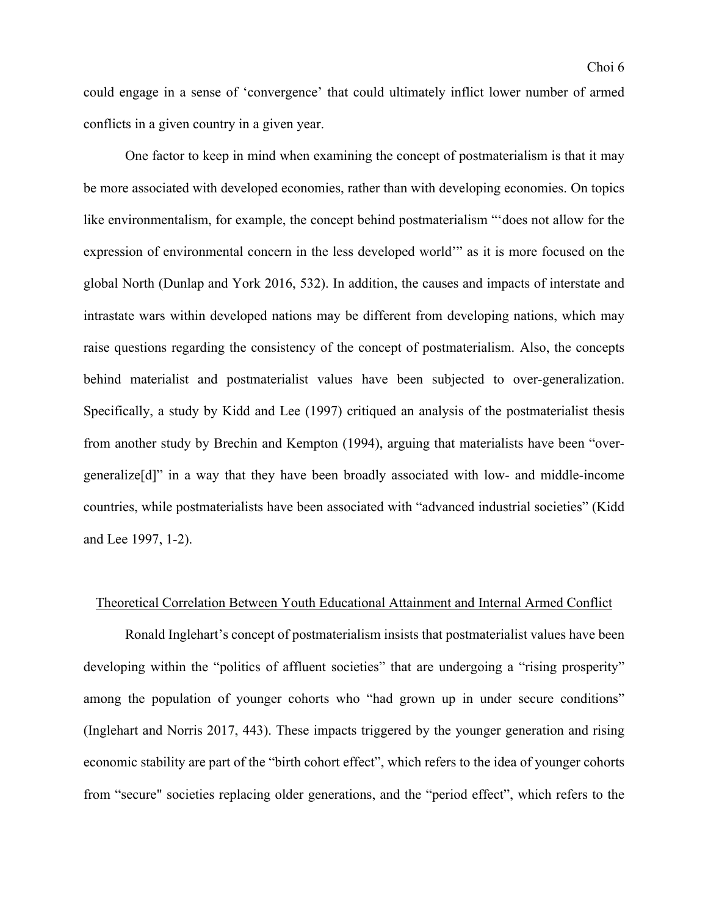could engage in a sense of 'convergence' that could ultimately inflict lower number of armed conflicts in a given country in a given year.

One factor to keep in mind when examining the concept of postmaterialism is that it may be more associated with developed economies, rather than with developing economies. On topics like environmentalism, for example, the concept behind postmaterialism "'does not allow for the expression of environmental concern in the less developed world'" as it is more focused on the global North (Dunlap and York 2016, 532). In addition, the causes and impacts of interstate and intrastate wars within developed nations may be different from developing nations, which may raise questions regarding the consistency of the concept of postmaterialism. Also, the concepts behind materialist and postmaterialist values have been subjected to over-generalization. Specifically, a study by Kidd and Lee (1997) critiqued an analysis of the postmaterialist thesis from another study by Brechin and Kempton (1994), arguing that materialists have been "overgeneralize[d]" in a way that they have been broadly associated with low- and middle-income countries, while postmaterialists have been associated with "advanced industrial societies" (Kidd and Lee 1997, 1-2).

#### Theoretical Correlation Between Youth Educational Attainment and Internal Armed Conflict

Ronald Inglehart's concept of postmaterialism insists that postmaterialist values have been developing within the "politics of affluent societies" that are undergoing a "rising prosperity" among the population of younger cohorts who "had grown up in under secure conditions" (Inglehart and Norris 2017, 443). These impacts triggered by the younger generation and rising economic stability are part of the "birth cohort effect", which refers to the idea of younger cohorts from "secure" societies replacing older generations, and the "period effect", which refers to the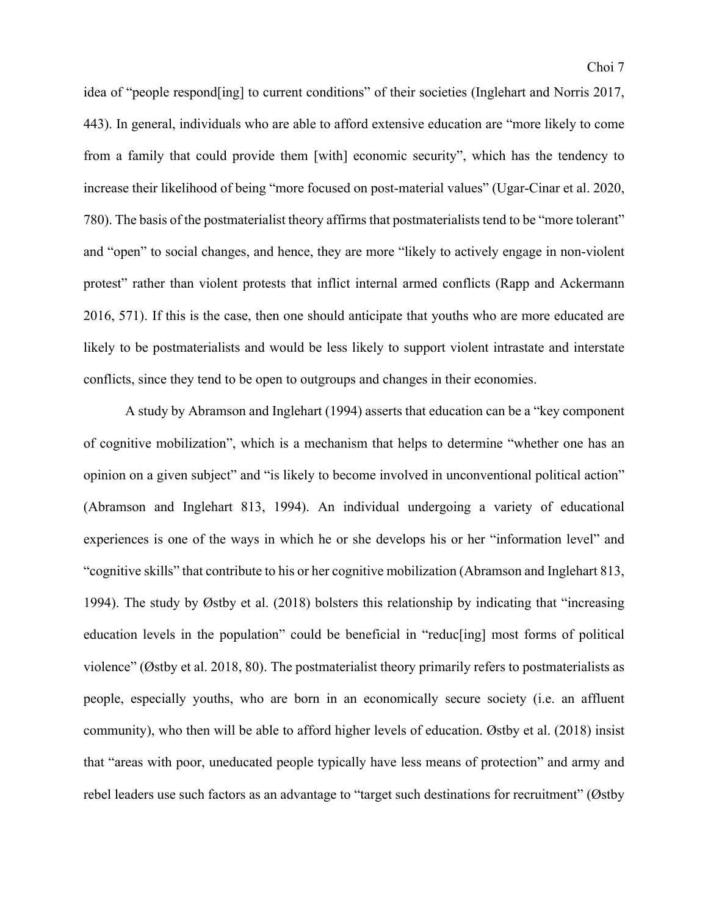idea of "people respond[ing] to current conditions" of their societies (Inglehart and Norris 2017, 443). In general, individuals who are able to afford extensive education are "more likely to come from a family that could provide them [with] economic security", which has the tendency to increase their likelihood of being "more focused on post-material values" (Ugar-Cinar et al. 2020, 780). The basis of the postmaterialist theory affirms that postmaterialists tend to be "more tolerant" and "open" to social changes, and hence, they are more "likely to actively engage in non-violent protest" rather than violent protests that inflict internal armed conflicts (Rapp and Ackermann 2016, 571). If this is the case, then one should anticipate that youths who are more educated are likely to be postmaterialists and would be less likely to support violent intrastate and interstate conflicts, since they tend to be open to outgroups and changes in their economies.

A study by Abramson and Inglehart (1994) asserts that education can be a "key component of cognitive mobilization", which is a mechanism that helps to determine "whether one has an opinion on a given subject" and "is likely to become involved in unconventional political action" (Abramson and Inglehart 813, 1994). An individual undergoing a variety of educational experiences is one of the ways in which he or she develops his or her "information level" and "cognitive skills" that contribute to his or her cognitive mobilization (Abramson and Inglehart 813, 1994). The study by Østby et al. (2018) bolsters this relationship by indicating that "increasing education levels in the population" could be beneficial in "reduc[ing] most forms of political violence" (Østby et al. 2018, 80). The postmaterialist theory primarily refers to postmaterialists as people, especially youths, who are born in an economically secure society (i.e. an affluent community), who then will be able to afford higher levels of education. Østby et al. (2018) insist that "areas with poor, uneducated people typically have less means of protection" and army and rebel leaders use such factors as an advantage to "target such destinations for recruitment" (Østby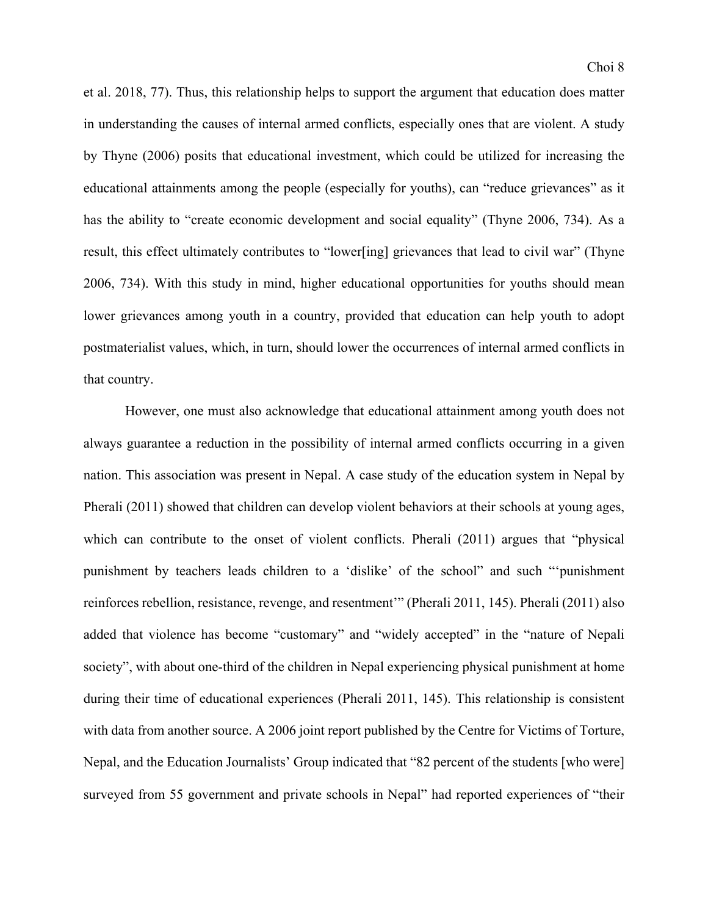et al. 2018, 77). Thus, this relationship helps to support the argument that education does matter in understanding the causes of internal armed conflicts, especially ones that are violent. A study by Thyne (2006) posits that educational investment, which could be utilized for increasing the educational attainments among the people (especially for youths), can "reduce grievances" as it has the ability to "create economic development and social equality" (Thyne 2006, 734). As a result, this effect ultimately contributes to "lower[ing] grievances that lead to civil war" (Thyne 2006, 734). With this study in mind, higher educational opportunities for youths should mean lower grievances among youth in a country, provided that education can help youth to adopt postmaterialist values, which, in turn, should lower the occurrences of internal armed conflicts in that country.

However, one must also acknowledge that educational attainment among youth does not always guarantee a reduction in the possibility of internal armed conflicts occurring in a given nation. This association was present in Nepal. A case study of the education system in Nepal by Pherali (2011) showed that children can develop violent behaviors at their schools at young ages, which can contribute to the onset of violent conflicts. Pherali (2011) argues that "physical punishment by teachers leads children to a 'dislike' of the school" and such "'punishment reinforces rebellion, resistance, revenge, and resentment'" (Pherali 2011, 145). Pherali (2011) also added that violence has become "customary" and "widely accepted" in the "nature of Nepali society", with about one-third of the children in Nepal experiencing physical punishment at home during their time of educational experiences (Pherali 2011, 145). This relationship is consistent with data from another source. A 2006 joint report published by the Centre for Victims of Torture, Nepal, and the Education Journalists' Group indicated that "82 percent of the students [who were] surveyed from 55 government and private schools in Nepal" had reported experiences of "their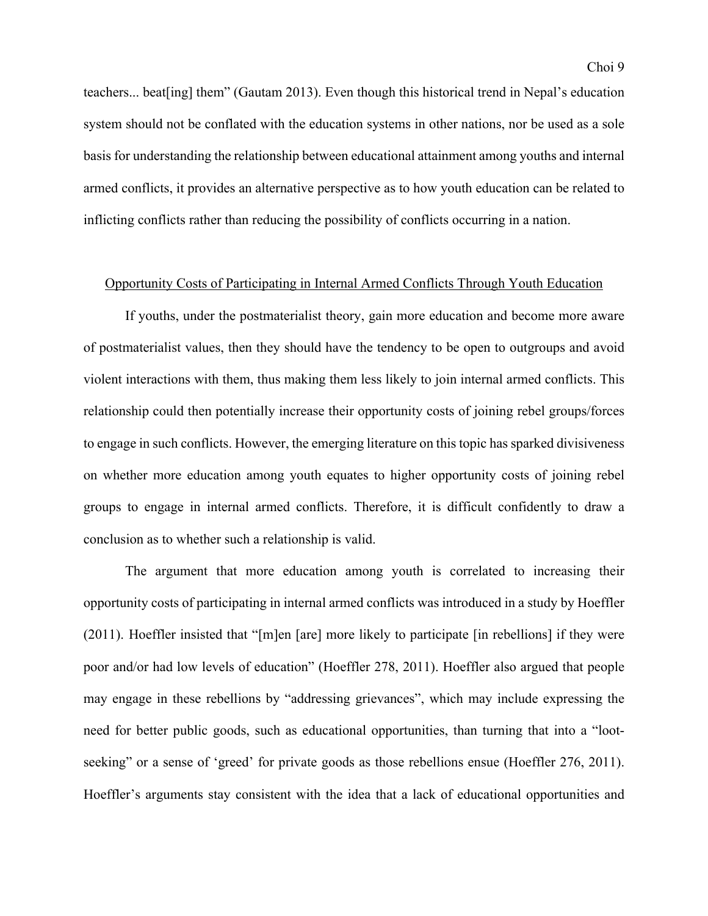teachers... beat[ing] them" (Gautam 2013). Even though this historical trend in Nepal's education system should not be conflated with the education systems in other nations, nor be used as a sole basis for understanding the relationship between educational attainment among youths and internal armed conflicts, it provides an alternative perspective as to how youth education can be related to inflicting conflicts rather than reducing the possibility of conflicts occurring in a nation.

#### Opportunity Costs of Participating in Internal Armed Conflicts Through Youth Education

If youths, under the postmaterialist theory, gain more education and become more aware of postmaterialist values, then they should have the tendency to be open to outgroups and avoid violent interactions with them, thus making them less likely to join internal armed conflicts. This relationship could then potentially increase their opportunity costs of joining rebel groups/forces to engage in such conflicts. However, the emerging literature on this topic has sparked divisiveness on whether more education among youth equates to higher opportunity costs of joining rebel groups to engage in internal armed conflicts. Therefore, it is difficult confidently to draw a conclusion as to whether such a relationship is valid.

The argument that more education among youth is correlated to increasing their opportunity costs of participating in internal armed conflicts was introduced in a study by Hoeffler (2011). Hoeffler insisted that "[m]en [are] more likely to participate [in rebellions] if they were poor and/or had low levels of education" (Hoeffler 278, 2011). Hoeffler also argued that people may engage in these rebellions by "addressing grievances", which may include expressing the need for better public goods, such as educational opportunities, than turning that into a "lootseeking" or a sense of 'greed' for private goods as those rebellions ensue (Hoeffler 276, 2011). Hoeffler's arguments stay consistent with the idea that a lack of educational opportunities and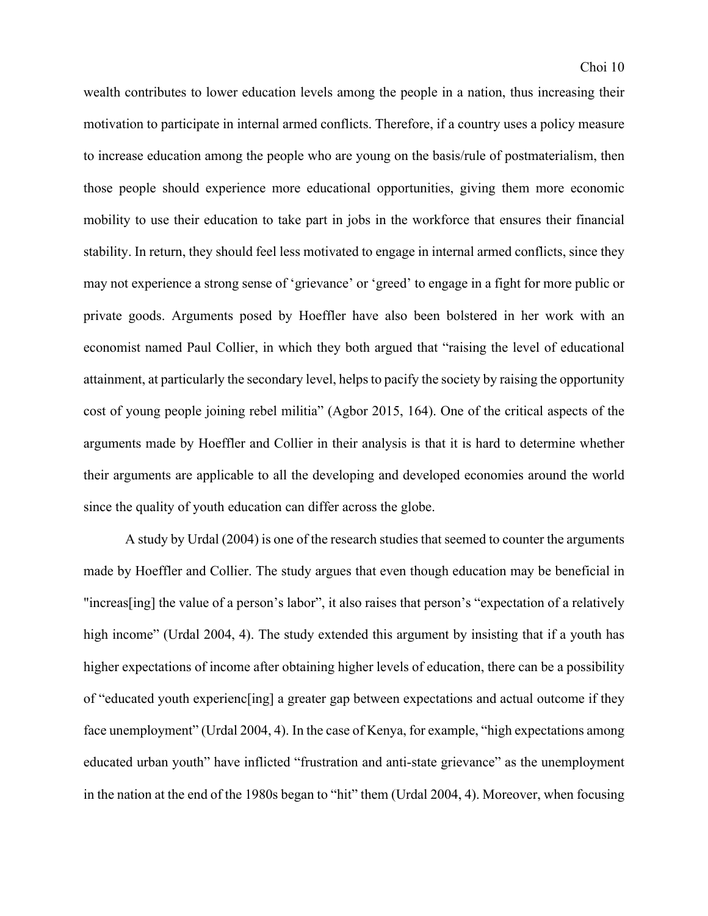wealth contributes to lower education levels among the people in a nation, thus increasing their motivation to participate in internal armed conflicts. Therefore, if a country uses a policy measure to increase education among the people who are young on the basis/rule of postmaterialism, then those people should experience more educational opportunities, giving them more economic mobility to use their education to take part in jobs in the workforce that ensures their financial stability. In return, they should feel less motivated to engage in internal armed conflicts, since they may not experience a strong sense of 'grievance' or 'greed' to engage in a fight for more public or private goods. Arguments posed by Hoeffler have also been bolstered in her work with an economist named Paul Collier, in which they both argued that "raising the level of educational attainment, at particularly the secondary level, helps to pacify the society by raising the opportunity cost of young people joining rebel militia" (Agbor 2015, 164). One of the critical aspects of the arguments made by Hoeffler and Collier in their analysis is that it is hard to determine whether their arguments are applicable to all the developing and developed economies around the world since the quality of youth education can differ across the globe.

A study by Urdal (2004) is one of the research studies that seemed to counter the arguments made by Hoeffler and Collier. The study argues that even though education may be beneficial in "increas[ing] the value of a person's labor", it also raises that person's "expectation of a relatively high income" (Urdal 2004, 4). The study extended this argument by insisting that if a youth has higher expectations of income after obtaining higher levels of education, there can be a possibility of "educated youth experienc[ing] a greater gap between expectations and actual outcome if they face unemployment" (Urdal 2004, 4). In the case of Kenya, for example, "high expectations among educated urban youth" have inflicted "frustration and anti-state grievance" as the unemployment in the nation at the end of the 1980s began to "hit" them (Urdal 2004, 4). Moreover, when focusing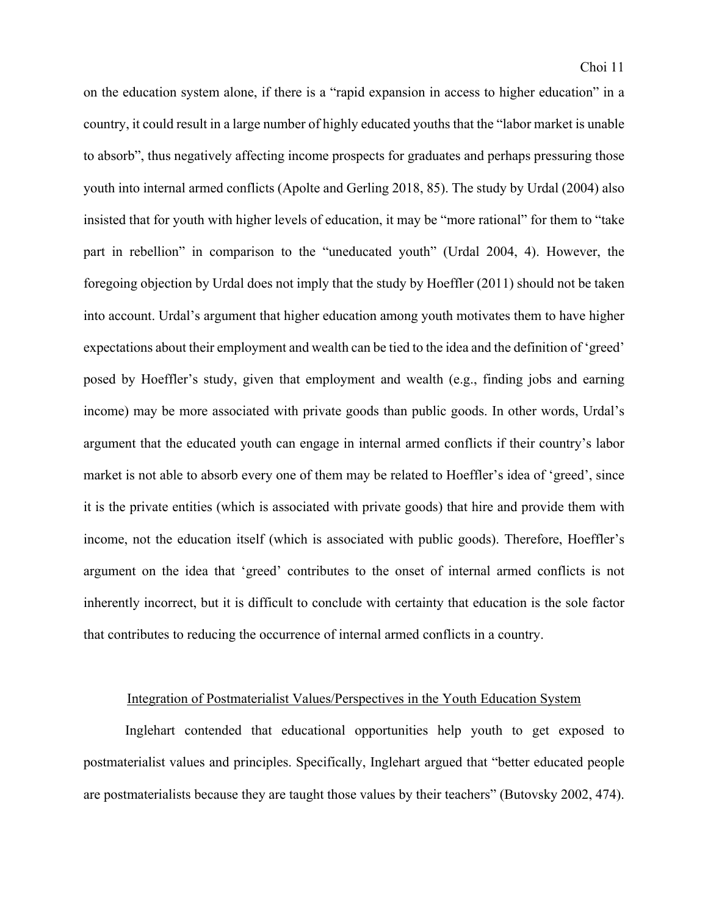on the education system alone, if there is a "rapid expansion in access to higher education" in a country, it could result in a large number of highly educated youths that the "labor market is unable to absorb", thus negatively affecting income prospects for graduates and perhaps pressuring those youth into internal armed conflicts (Apolte and Gerling 2018, 85). The study by Urdal (2004) also insisted that for youth with higher levels of education, it may be "more rational" for them to "take part in rebellion" in comparison to the "uneducated youth" (Urdal 2004, 4). However, the foregoing objection by Urdal does not imply that the study by Hoeffler (2011) should not be taken into account. Urdal's argument that higher education among youth motivates them to have higher expectations about their employment and wealth can be tied to the idea and the definition of 'greed' posed by Hoeffler's study, given that employment and wealth (e.g., finding jobs and earning income) may be more associated with private goods than public goods. In other words, Urdal's argument that the educated youth can engage in internal armed conflicts if their country's labor market is not able to absorb every one of them may be related to Hoeffler's idea of 'greed', since it is the private entities (which is associated with private goods) that hire and provide them with income, not the education itself (which is associated with public goods). Therefore, Hoeffler's argument on the idea that 'greed' contributes to the onset of internal armed conflicts is not inherently incorrect, but it is difficult to conclude with certainty that education is the sole factor that contributes to reducing the occurrence of internal armed conflicts in a country.

# Integration of Postmaterialist Values/Perspectives in the Youth Education System

Inglehart contended that educational opportunities help youth to get exposed to postmaterialist values and principles. Specifically, Inglehart argued that "better educated people are postmaterialists because they are taught those values by their teachers" (Butovsky 2002, 474).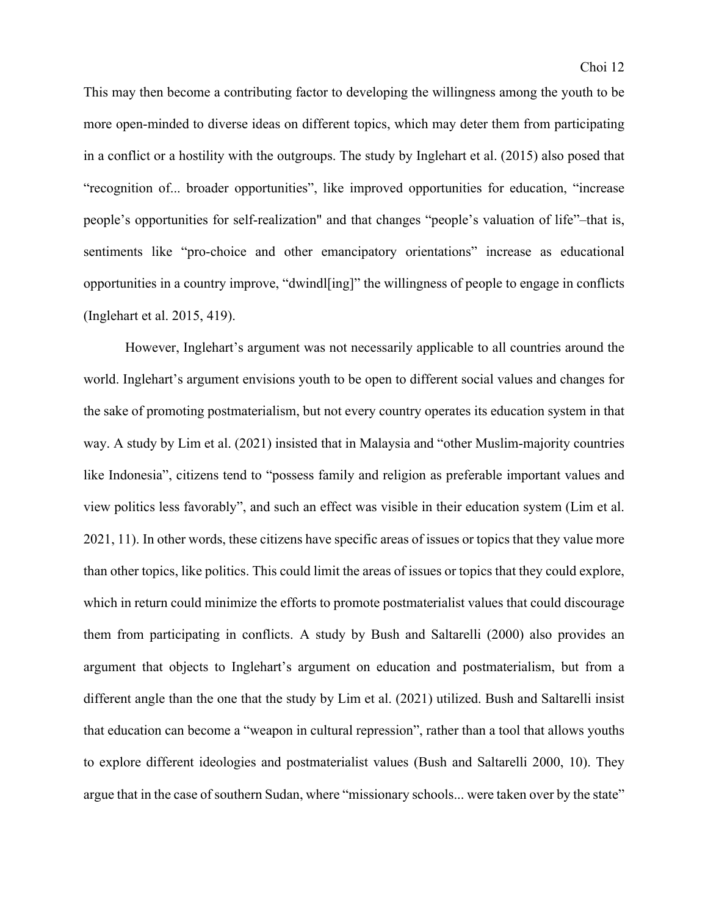This may then become a contributing factor to developing the willingness among the youth to be more open-minded to diverse ideas on different topics, which may deter them from participating in a conflict or a hostility with the outgroups. The study by Inglehart et al. (2015) also posed that "recognition of... broader opportunities", like improved opportunities for education, "increase people's opportunities for self-realization" and that changes "people's valuation of life"–that is, sentiments like "pro-choice and other emancipatory orientations" increase as educational opportunities in a country improve, "dwindl[ing]" the willingness of people to engage in conflicts (Inglehart et al. 2015, 419).

However, Inglehart's argument was not necessarily applicable to all countries around the world. Inglehart's argument envisions youth to be open to different social values and changes for the sake of promoting postmaterialism, but not every country operates its education system in that way. A study by Lim et al. (2021) insisted that in Malaysia and "other Muslim-majority countries like Indonesia", citizens tend to "possess family and religion as preferable important values and view politics less favorably", and such an effect was visible in their education system (Lim et al. 2021, 11). In other words, these citizens have specific areas of issues or topics that they value more than other topics, like politics. This could limit the areas of issues or topics that they could explore, which in return could minimize the efforts to promote postmaterialist values that could discourage them from participating in conflicts. A study by Bush and Saltarelli (2000) also provides an argument that objects to Inglehart's argument on education and postmaterialism, but from a different angle than the one that the study by Lim et al. (2021) utilized. Bush and Saltarelli insist that education can become a "weapon in cultural repression", rather than a tool that allows youths to explore different ideologies and postmaterialist values (Bush and Saltarelli 2000, 10). They argue that in the case of southern Sudan, where "missionary schools... were taken over by the state"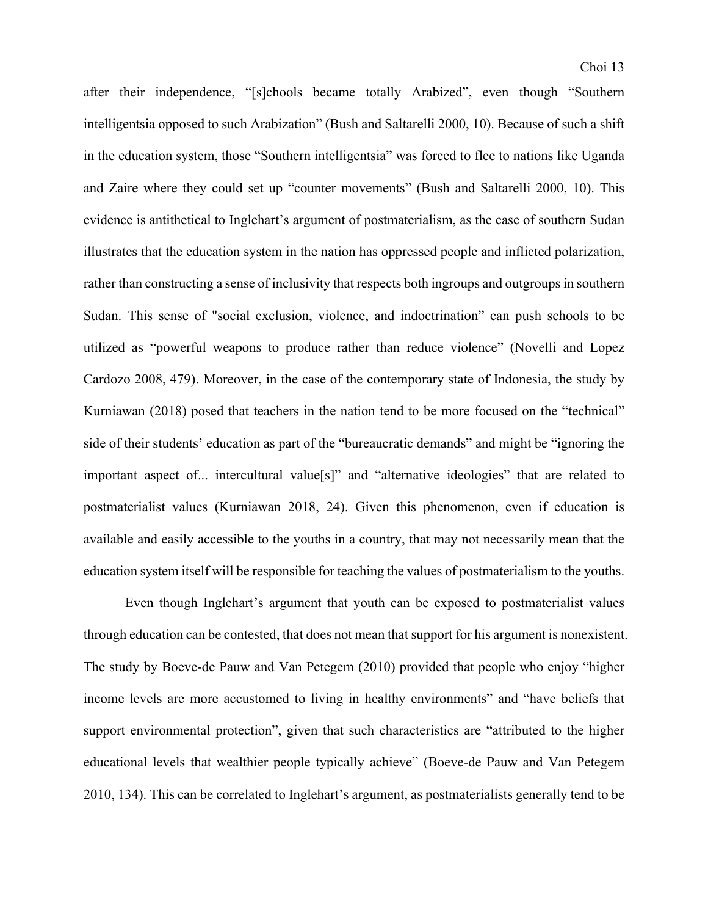after their independence, "[s]chools became totally Arabized", even though "Southern intelligentsia opposed to such Arabization" (Bush and Saltarelli 2000, 10). Because of such a shift in the education system, those "Southern intelligentsia" was forced to flee to nations like Uganda and Zaire where they could set up "counter movements" (Bush and Saltarelli 2000, 10). This evidence is antithetical to Inglehart's argument of postmaterialism, as the case of southern Sudan illustrates that the education system in the nation has oppressed people and inflicted polarization, rather than constructing a sense of inclusivity that respects both ingroups and outgroups in southern Sudan. This sense of "social exclusion, violence, and indoctrination" can push schools to be utilized as "powerful weapons to produce rather than reduce violence" (Novelli and Lopez Cardozo 2008, 479). Moreover, in the case of the contemporary state of Indonesia, the study by Kurniawan (2018) posed that teachers in the nation tend to be more focused on the "technical" side of their students' education as part of the "bureaucratic demands" and might be "ignoring the important aspect of... intercultural value[s]" and "alternative ideologies" that are related to postmaterialist values (Kurniawan 2018, 24). Given this phenomenon, even if education is available and easily accessible to the youths in a country, that may not necessarily mean that the education system itself will be responsible for teaching the values of postmaterialism to the youths.

Even though Inglehart's argument that youth can be exposed to postmaterialist values through education can be contested, that does not mean that support for his argument is nonexistent. The study by Boeve-de Pauw and Van Petegem (2010) provided that people who enjoy "higher income levels are more accustomed to living in healthy environments" and "have beliefs that support environmental protection", given that such characteristics are "attributed to the higher educational levels that wealthier people typically achieve" (Boeve-de Pauw and Van Petegem 2010, 134). This can be correlated to Inglehart's argument, as postmaterialists generally tend to be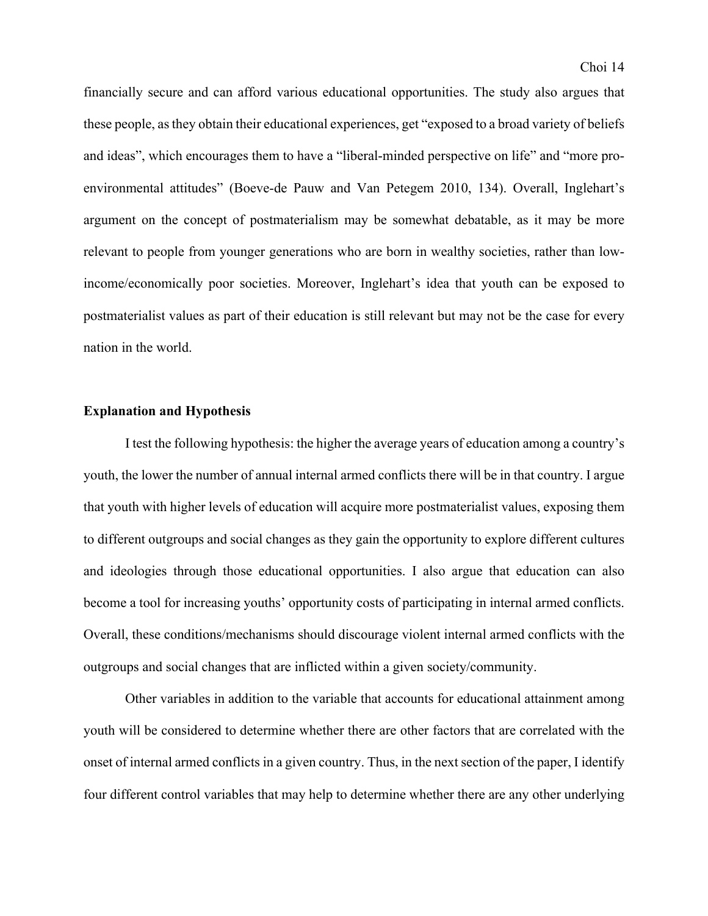financially secure and can afford various educational opportunities. The study also argues that these people, as they obtain their educational experiences, get "exposed to a broad variety of beliefs and ideas", which encourages them to have a "liberal-minded perspective on life" and "more proenvironmental attitudes" (Boeve-de Pauw and Van Petegem 2010, 134). Overall, Inglehart's argument on the concept of postmaterialism may be somewhat debatable, as it may be more relevant to people from younger generations who are born in wealthy societies, rather than lowincome/economically poor societies. Moreover, Inglehart's idea that youth can be exposed to postmaterialist values as part of their education is still relevant but may not be the case for every nation in the world.

## **Explanation and Hypothesis**

I test the following hypothesis: the higher the average years of education among a country's youth, the lower the number of annual internal armed conflicts there will be in that country. I argue that youth with higher levels of education will acquire more postmaterialist values, exposing them to different outgroups and social changes as they gain the opportunity to explore different cultures and ideologies through those educational opportunities. I also argue that education can also become a tool for increasing youths' opportunity costs of participating in internal armed conflicts. Overall, these conditions/mechanisms should discourage violent internal armed conflicts with the outgroups and social changes that are inflicted within a given society/community.

Other variables in addition to the variable that accounts for educational attainment among youth will be considered to determine whether there are other factors that are correlated with the onset of internal armed conflicts in a given country. Thus, in the next section of the paper, I identify four different control variables that may help to determine whether there are any other underlying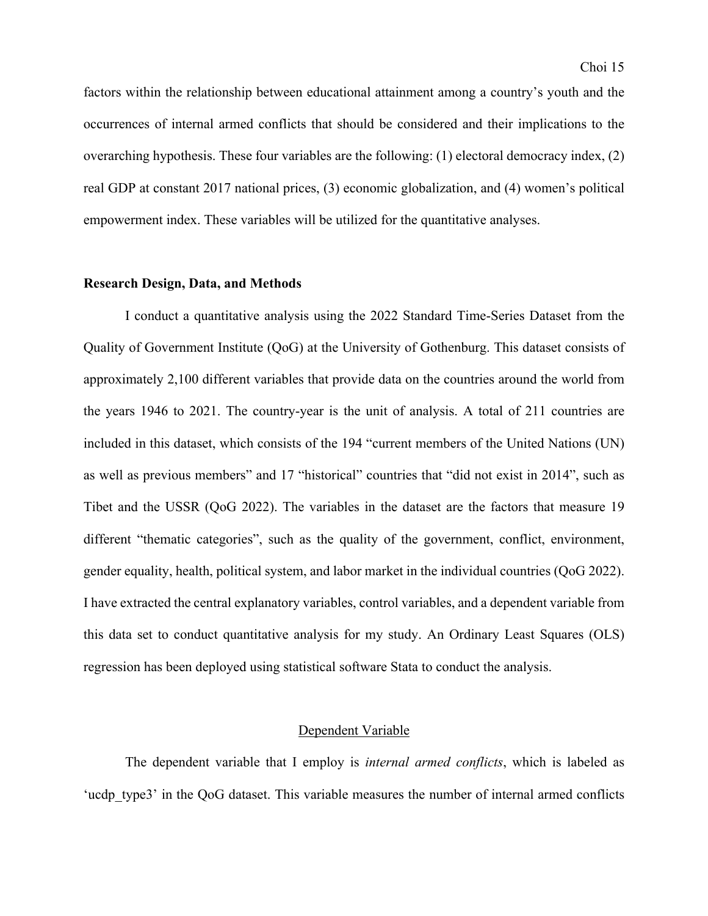factors within the relationship between educational attainment among a country's youth and the occurrences of internal armed conflicts that should be considered and their implications to the overarching hypothesis. These four variables are the following: (1) electoral democracy index, (2) real GDP at constant 2017 national prices, (3) economic globalization, and (4) women's political empowerment index. These variables will be utilized for the quantitative analyses.

#### **Research Design, Data, and Methods**

I conduct a quantitative analysis using the 2022 Standard Time-Series Dataset from the Quality of Government Institute (QoG) at the University of Gothenburg. This dataset consists of approximately 2,100 different variables that provide data on the countries around the world from the years 1946 to 2021. The country-year is the unit of analysis. A total of 211 countries are included in this dataset, which consists of the 194 "current members of the United Nations (UN) as well as previous members" and 17 "historical" countries that "did not exist in 2014", such as Tibet and the USSR (QoG 2022). The variables in the dataset are the factors that measure 19 different "thematic categories", such as the quality of the government, conflict, environment, gender equality, health, political system, and labor market in the individual countries (QoG 2022). I have extracted the central explanatory variables, control variables, and a dependent variable from this data set to conduct quantitative analysis for my study. An Ordinary Least Squares (OLS) regression has been deployed using statistical software Stata to conduct the analysis.

#### Dependent Variable

The dependent variable that I employ is *internal armed conflicts*, which is labeled as 'ucdp type3' in the QoG dataset. This variable measures the number of internal armed conflicts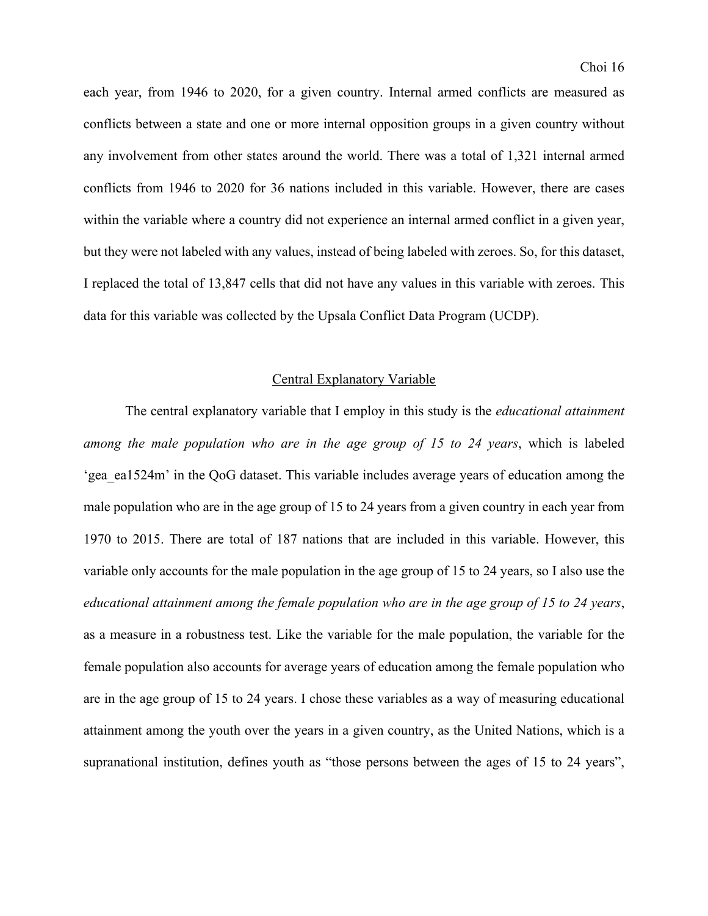each year, from 1946 to 2020, for a given country. Internal armed conflicts are measured as conflicts between a state and one or more internal opposition groups in a given country without any involvement from other states around the world. There was a total of 1,321 internal armed conflicts from 1946 to 2020 for 36 nations included in this variable. However, there are cases within the variable where a country did not experience an internal armed conflict in a given year, but they were not labeled with any values, instead of being labeled with zeroes. So, for this dataset, I replaced the total of 13,847 cells that did not have any values in this variable with zeroes. This data for this variable was collected by the Upsala Conflict Data Program (UCDP).

### Central Explanatory Variable

The central explanatory variable that I employ in this study is the *educational attainment among the male population who are in the age group of 15 to 24 years*, which is labeled 'gea\_ea1524m' in the QoG dataset. This variable includes average years of education among the male population who are in the age group of 15 to 24 years from a given country in each year from 1970 to 2015. There are total of 187 nations that are included in this variable. However, this variable only accounts for the male population in the age group of 15 to 24 years, so I also use the *educational attainment among the female population who are in the age group of 15 to 24 years*, as a measure in a robustness test. Like the variable for the male population, the variable for the female population also accounts for average years of education among the female population who are in the age group of 15 to 24 years. I chose these variables as a way of measuring educational attainment among the youth over the years in a given country, as the United Nations, which is a supranational institution, defines youth as "those persons between the ages of 15 to 24 years",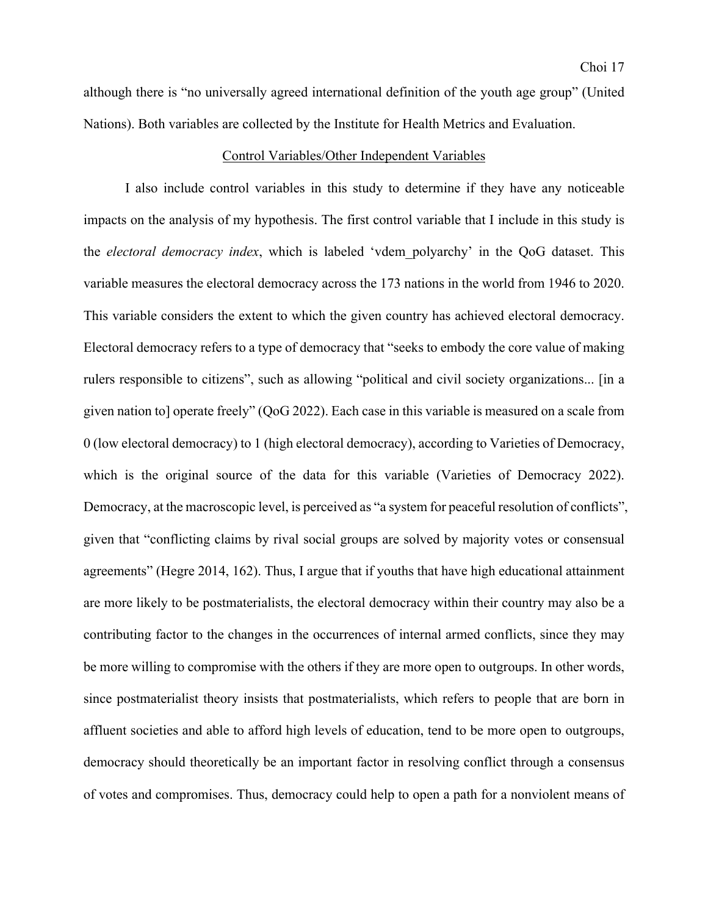although there is "no universally agreed international definition of the youth age group" (United Nations). Both variables are collected by the Institute for Health Metrics and Evaluation.

#### Control Variables/Other Independent Variables

I also include control variables in this study to determine if they have any noticeable impacts on the analysis of my hypothesis. The first control variable that I include in this study is the *electoral democracy index*, which is labeled 'vdem\_polyarchy' in the QoG dataset. This variable measures the electoral democracy across the 173 nations in the world from 1946 to 2020. This variable considers the extent to which the given country has achieved electoral democracy. Electoral democracy refers to a type of democracy that "seeks to embody the core value of making rulers responsible to citizens", such as allowing "political and civil society organizations... [in a given nation to] operate freely" (QoG 2022). Each case in this variable is measured on a scale from 0 (low electoral democracy) to 1 (high electoral democracy), according to Varieties of Democracy, which is the original source of the data for this variable (Varieties of Democracy 2022). Democracy, at the macroscopic level, is perceived as "a system for peaceful resolution of conflicts", given that "conflicting claims by rival social groups are solved by majority votes or consensual agreements" (Hegre 2014, 162). Thus, I argue that if youths that have high educational attainment are more likely to be postmaterialists, the electoral democracy within their country may also be a contributing factor to the changes in the occurrences of internal armed conflicts, since they may be more willing to compromise with the others if they are more open to outgroups. In other words, since postmaterialist theory insists that postmaterialists, which refers to people that are born in affluent societies and able to afford high levels of education, tend to be more open to outgroups, democracy should theoretically be an important factor in resolving conflict through a consensus of votes and compromises. Thus, democracy could help to open a path for a nonviolent means of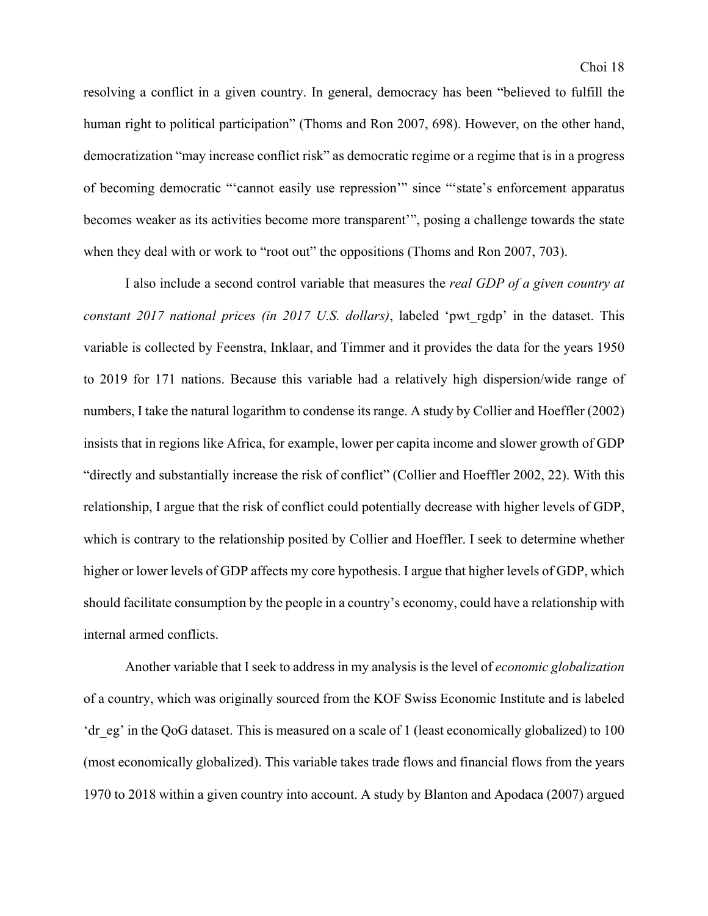resolving a conflict in a given country. In general, democracy has been "believed to fulfill the human right to political participation" (Thoms and Ron 2007, 698). However, on the other hand, democratization "may increase conflict risk" as democratic regime or a regime that is in a progress of becoming democratic "'cannot easily use repression'" since "'state's enforcement apparatus becomes weaker as its activities become more transparent'", posing a challenge towards the state when they deal with or work to "root out" the oppositions (Thoms and Ron 2007, 703).

I also include a second control variable that measures the *real GDP of a given country at constant 2017 national prices (in 2017 U.S. dollars)*, labeled 'pwt\_rgdp' in the dataset. This variable is collected by Feenstra, Inklaar, and Timmer and it provides the data for the years 1950 to 2019 for 171 nations. Because this variable had a relatively high dispersion/wide range of numbers, I take the natural logarithm to condense its range. A study by Collier and Hoeffler (2002) insists that in regions like Africa, for example, lower per capita income and slower growth of GDP "directly and substantially increase the risk of conflict" (Collier and Hoeffler 2002, 22). With this relationship, I argue that the risk of conflict could potentially decrease with higher levels of GDP, which is contrary to the relationship posited by Collier and Hoeffler. I seek to determine whether higher or lower levels of GDP affects my core hypothesis. I argue that higher levels of GDP, which should facilitate consumption by the people in a country's economy, could have a relationship with internal armed conflicts.

Another variable that I seek to address in my analysis is the level of *economic globalization* of a country, which was originally sourced from the KOF Swiss Economic Institute and is labeled 'dr\_eg' in the QoG dataset. This is measured on a scale of 1 (least economically globalized) to 100 (most economically globalized). This variable takes trade flows and financial flows from the years 1970 to 2018 within a given country into account. A study by Blanton and Apodaca (2007) argued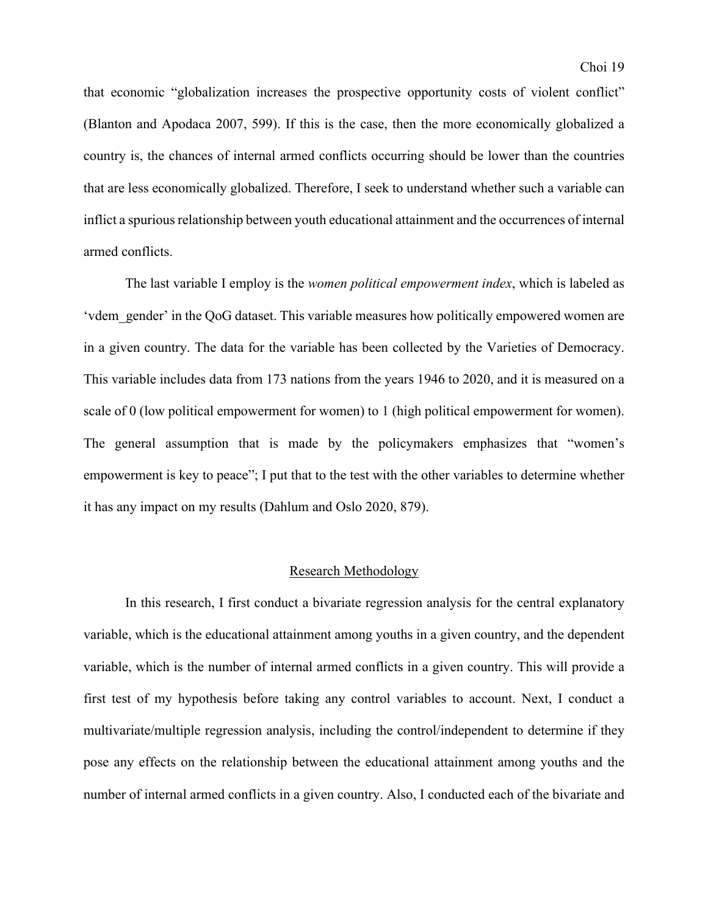that economic "globalization increases the prospective opportunity costs of violent conflict" (Blanton and Apodaca 2007, 599). If this is the case, then the more economically globalized a country is, the chances of internal armed conflicts occurring should be lower than the countries that are less economically globalized. Therefore, I seek to understand whether such a variable can inflict a spurious relationship between youth educational attainment and the occurrences of internal armed conflicts.

The last variable I employ is the *women political empowerment index*, which is labeled as 'vdem\_gender' in the QoG dataset. This variable measures how politically empowered women are in a given country. The data for the variable has been collected by the Varieties of Democracy. This variable includes data from 173 nations from the years 1946 to 2020, and it is measured on a scale of 0 (low political empowerment for women) to 1 (high political empowerment for women). The general assumption that is made by the policymakers emphasizes that "women's empowerment is key to peace"; I put that to the test with the other variables to determine whether it has any impact on my results (Dahlum and Oslo 2020, 879).

#### Research Methodology

In this research, I first conduct a bivariate regression analysis for the central explanatory variable, which is the educational attainment among youths in a given country, and the dependent variable, which is the number of internal armed conflicts in a given country. This will provide a first test of my hypothesis before taking any control variables to account. Next, I conduct a multivariate/multiple regression analysis, including the control/independent to determine if they pose any effects on the relationship between the educational attainment among youths and the number of internal armed conflicts in a given country. Also, I conducted each of the bivariate and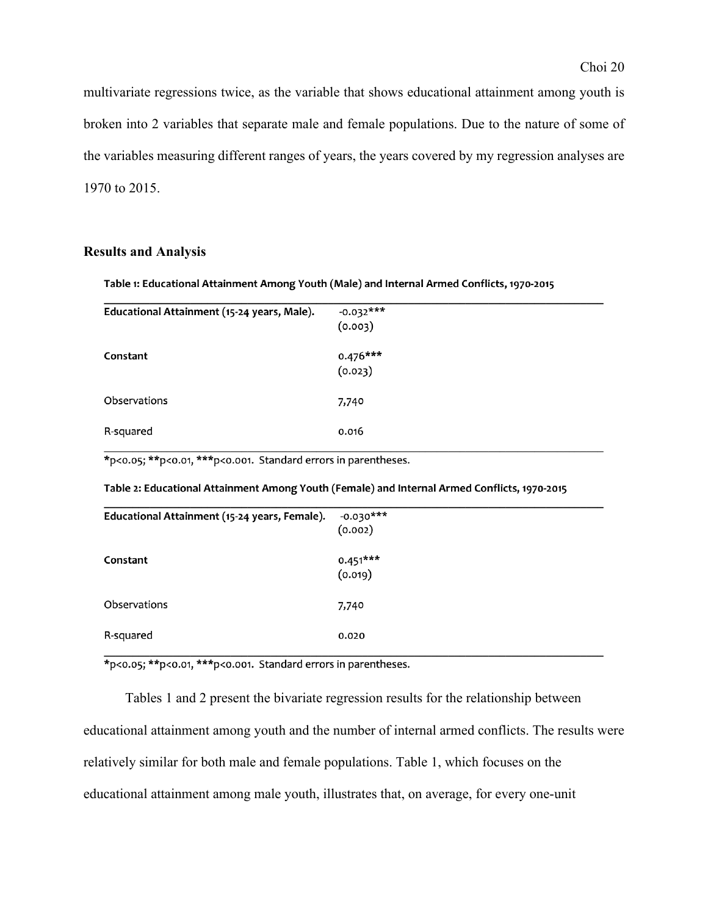multivariate regressions twice, as the variable that shows educational attainment among youth is broken into 2 variables that separate male and female populations. Due to the nature of some of the variables measuring different ranges of years, the years covered by my regression analyses are 1970 to 2015.

# **Results and Analysis**

Table 1: Educational Attainment Among Youth (Male) and Internal Armed Conflicts, 1970-2015

| Educational Attainment (15-24 years, Male). | $-0.032***$<br>(0.003) |
|---------------------------------------------|------------------------|
| Constant                                    | $0.476***$<br>(0.023)  |
| Observations                                | 7,740                  |
| R-squared                                   | 0.016                  |

\*p<0.05; \*\*p<0.01, \*\*\*p<0.001. Standard errors in parentheses.

Table 2: Educational Attainment Among Youth (Female) and Internal Armed Conflicts, 1970-2015

| Educational Attainment (15-24 years, Female). | $-0.030***$<br>(0.002) |
|-----------------------------------------------|------------------------|
| Constant                                      | $0.451***$<br>(0.019)  |
| Observations                                  | 7,740                  |
| R-squared                                     | 0.020                  |

 $\star_{p<0.05}$ ; \*\*p<0.01, \*\*\*p<0.001. Standard errors in parentheses.

Tables 1 and 2 present the bivariate regression results for the relationship between educational attainment among youth and the number of internal armed conflicts. The results were relatively similar for both male and female populations. Table 1, which focuses on the educational attainment among male youth, illustrates that, on average, for every one-unit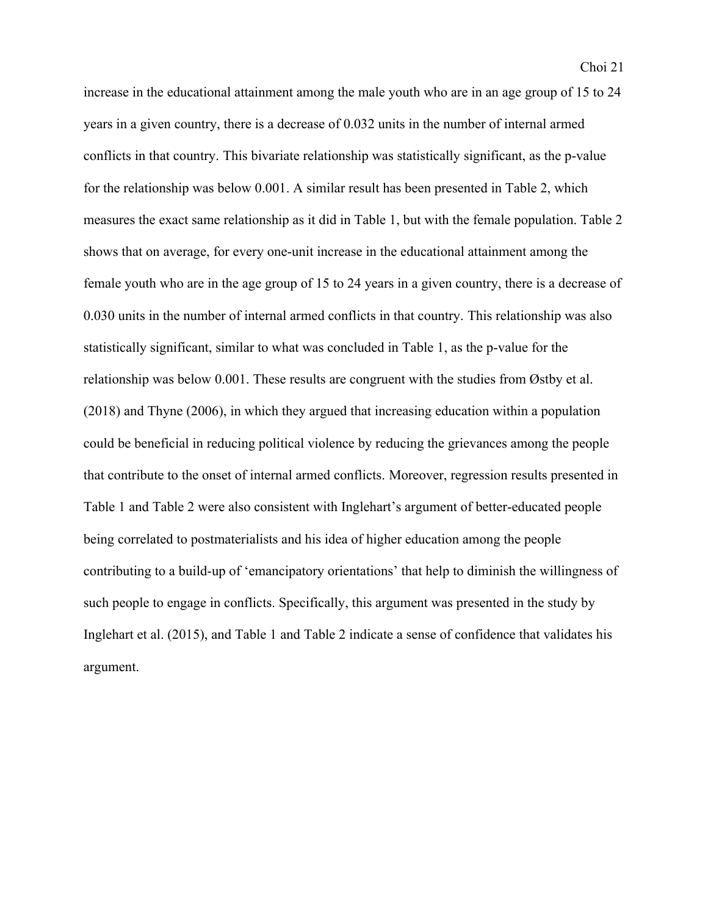increase in the educational attainment among the male youth who are in an age group of 15 to 24 years in a given country, there is a decrease of 0.032 units in the number of internal armed conflicts in that country. This bivariate relationship was statistically significant, as the p-value for the relationship was below 0.001. A similar result has been presented in Table 2, which measures the exact same relationship as it did in Table 1, but with the female population. Table 2 shows that on average, for every one-unit increase in the educational attainment among the female youth who are in the age group of 15 to 24 years in a given country, there is a decrease of 0.030 units in the number of internal armed conflicts in that country. This relationship was also statistically significant, similar to what was concluded in Table 1, as the p-value for the relationship was below 0.001. These results are congruent with the studies from Østby et al. (2018) and Thyne (2006), in which they argued that increasing education within a population could be beneficial in reducing political violence by reducing the grievances among the people that contribute to the onset of internal armed conflicts. Moreover, regression results presented in Table 1 and Table 2 were also consistent with Inglehart's argument of better-educated people being correlated to postmaterialists and his idea of higher education among the people contributing to a build-up of 'emancipatory orientations' that help to diminish the willingness of such people to engage in conflicts. Specifically, this argument was presented in the study by Inglehart et al. (2015), and Table 1 and Table 2 indicate a sense of confidence that validates his argument.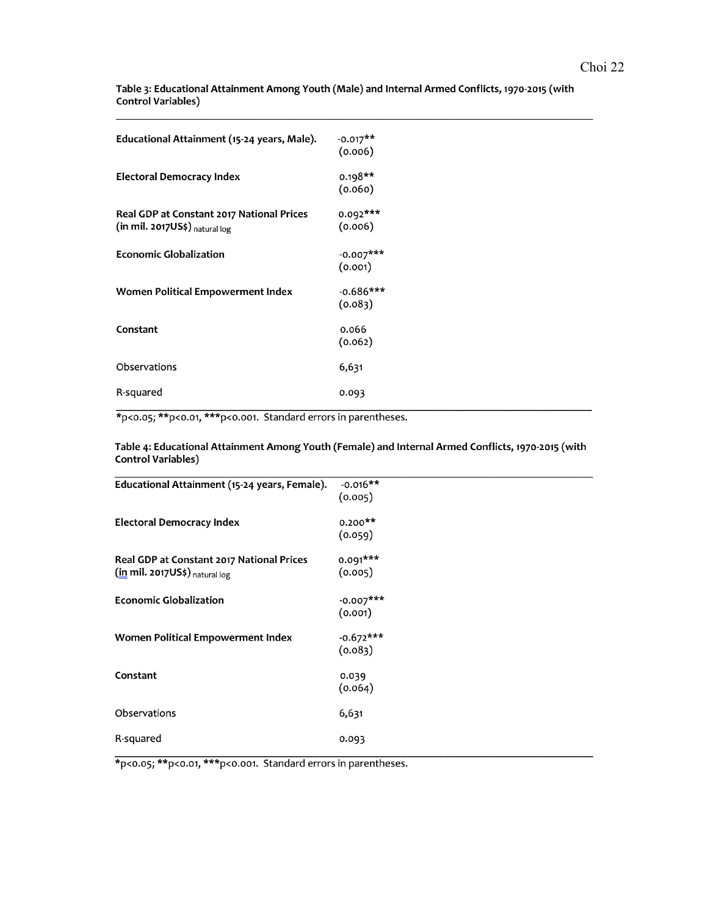Table 3: Educational Attainment Among Youth (Male) and Internal Armed Conflicts, 1970-2015 (with **Control Variables)** 

| Educational Attainment (15-24 years, Male).                                   | $-0.017**$<br>(0.006)   |
|-------------------------------------------------------------------------------|-------------------------|
| <b>Electoral Democracy Index</b>                                              | $0.198**$<br>(0.060)    |
| Real GDP at Constant 2017 National Prices<br>$(in$ mil. 2017US\$) natural log | $0.092***$<br>(0.006)   |
| <b>Economic Globalization</b>                                                 | $-0.007$ ***<br>(0.001) |
| Women Political Empowerment Index                                             | $-0.686***$<br>(0.083)  |
| Constant                                                                      | 0.066<br>(0.062)        |
| Observations                                                                  | 6,631                   |
| R-squared                                                                     | 0.093                   |

\*p<0.05; \*\*p<0.01, \*\*\*p<0.001. Standard errors in parentheses.

Table 4: Educational Attainment Among Youth (Female) and Internal Armed Conflicts, 1970-2015 (with Control Variables)

| Educational Attainment (15-24 years, Female).                                 | $-0.016**$<br>(0.005)  |
|-------------------------------------------------------------------------------|------------------------|
| <b>Electoral Democracy Index</b>                                              | $0.200**$<br>(0.059)   |
| Real GDP at Constant 2017 National Prices<br>$(in$ mil. 2017US\$) natural log | $0.091***$<br>(0.005)  |
| <b>Economic Globalization</b>                                                 | $-0.007***$<br>(0.001) |
| Women Political Empowerment Index                                             | $-0.672***$<br>(0.083) |
| Constant                                                                      | 0.039<br>(0.064)       |
| Observations                                                                  | 6,631                  |
| R-squared                                                                     | 0.093                  |

\*p<0.05; \*\*p<0.01, \*\*\*p<0.001. Standard errors in parentheses.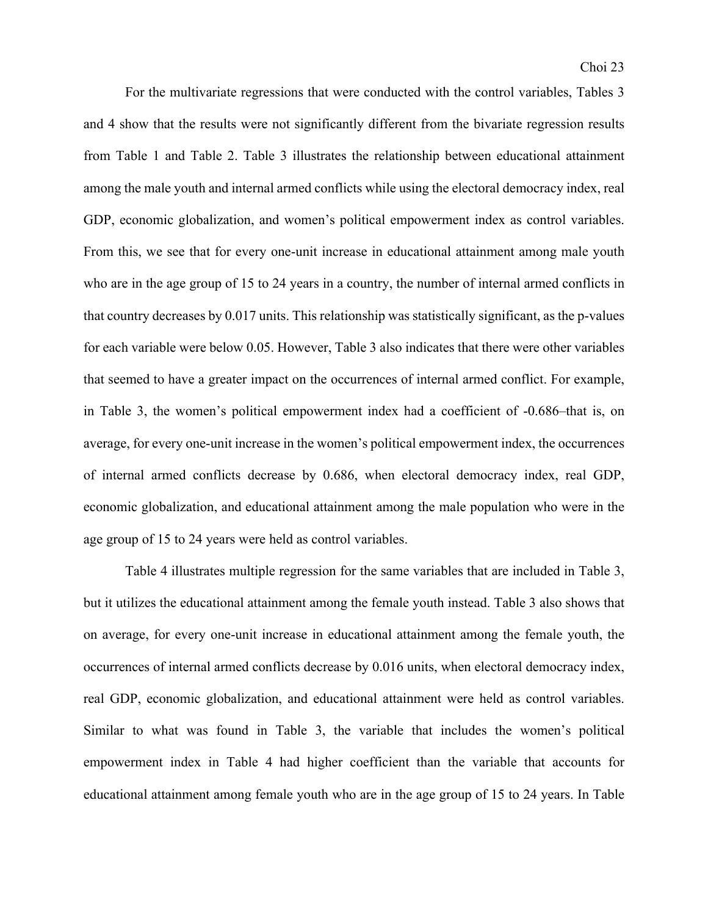For the multivariate regressions that were conducted with the control variables, Tables 3 and 4 show that the results were not significantly different from the bivariate regression results from Table 1 and Table 2. Table 3 illustrates the relationship between educational attainment among the male youth and internal armed conflicts while using the electoral democracy index, real GDP, economic globalization, and women's political empowerment index as control variables. From this, we see that for every one-unit increase in educational attainment among male youth who are in the age group of 15 to 24 years in a country, the number of internal armed conflicts in that country decreases by 0.017 units. This relationship was statistically significant, as the p-values for each variable were below 0.05. However, Table 3 also indicates that there were other variables that seemed to have a greater impact on the occurrences of internal armed conflict. For example, in Table 3, the women's political empowerment index had a coefficient of -0.686–that is, on average, for every one-unit increase in the women's political empowerment index, the occurrences of internal armed conflicts decrease by 0.686, when electoral democracy index, real GDP, economic globalization, and educational attainment among the male population who were in the age group of 15 to 24 years were held as control variables.

Table 4 illustrates multiple regression for the same variables that are included in Table 3, but it utilizes the educational attainment among the female youth instead. Table 3 also shows that on average, for every one-unit increase in educational attainment among the female youth, the occurrences of internal armed conflicts decrease by 0.016 units, when electoral democracy index, real GDP, economic globalization, and educational attainment were held as control variables. Similar to what was found in Table 3, the variable that includes the women's political empowerment index in Table 4 had higher coefficient than the variable that accounts for educational attainment among female youth who are in the age group of 15 to 24 years. In Table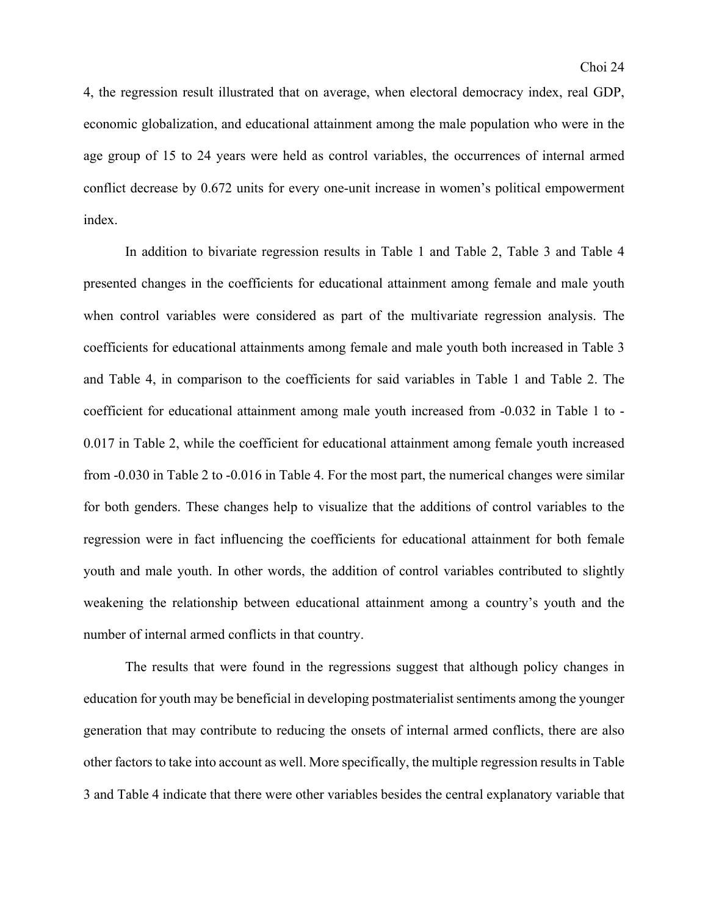4, the regression result illustrated that on average, when electoral democracy index, real GDP, economic globalization, and educational attainment among the male population who were in the age group of 15 to 24 years were held as control variables, the occurrences of internal armed conflict decrease by 0.672 units for every one-unit increase in women's political empowerment index.

In addition to bivariate regression results in Table 1 and Table 2, Table 3 and Table 4 presented changes in the coefficients for educational attainment among female and male youth when control variables were considered as part of the multivariate regression analysis. The coefficients for educational attainments among female and male youth both increased in Table 3 and Table 4, in comparison to the coefficients for said variables in Table 1 and Table 2. The coefficient for educational attainment among male youth increased from -0.032 in Table 1 to - 0.017 in Table 2, while the coefficient for educational attainment among female youth increased from -0.030 in Table 2 to -0.016 in Table 4. For the most part, the numerical changes were similar for both genders. These changes help to visualize that the additions of control variables to the regression were in fact influencing the coefficients for educational attainment for both female youth and male youth. In other words, the addition of control variables contributed to slightly weakening the relationship between educational attainment among a country's youth and the number of internal armed conflicts in that country.

The results that were found in the regressions suggest that although policy changes in education for youth may be beneficial in developing postmaterialist sentiments among the younger generation that may contribute to reducing the onsets of internal armed conflicts, there are also other factors to take into account as well. More specifically, the multiple regression results in Table 3 and Table 4 indicate that there were other variables besides the central explanatory variable that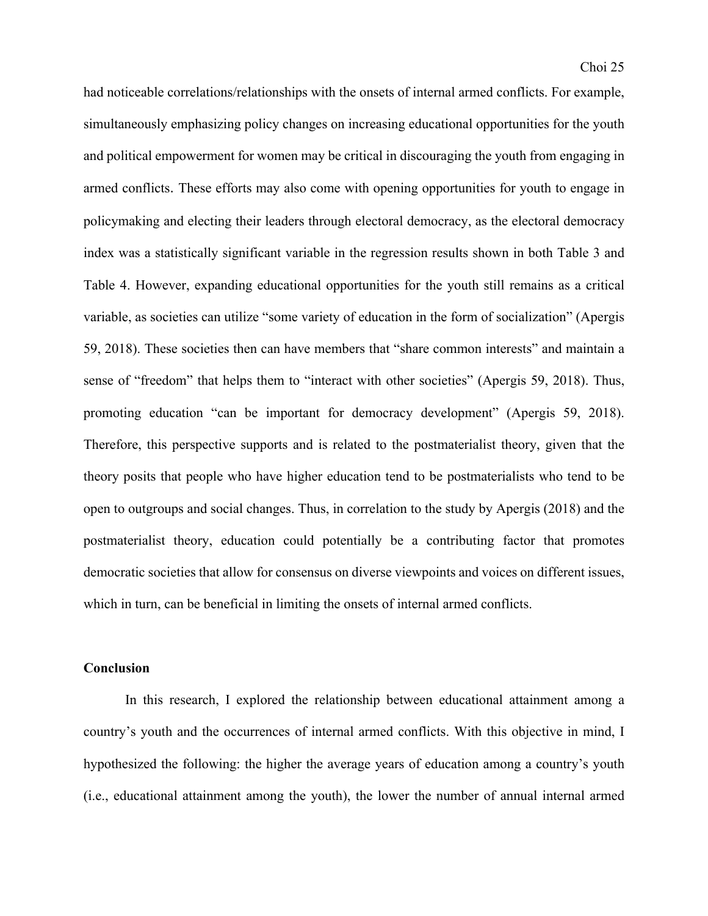had noticeable correlations/relationships with the onsets of internal armed conflicts. For example, simultaneously emphasizing policy changes on increasing educational opportunities for the youth and political empowerment for women may be critical in discouraging the youth from engaging in armed conflicts. These efforts may also come with opening opportunities for youth to engage in policymaking and electing their leaders through electoral democracy, as the electoral democracy index was a statistically significant variable in the regression results shown in both Table 3 and Table 4. However, expanding educational opportunities for the youth still remains as a critical variable, as societies can utilize "some variety of education in the form of socialization" (Apergis 59, 2018). These societies then can have members that "share common interests" and maintain a sense of "freedom" that helps them to "interact with other societies" (Apergis 59, 2018). Thus, promoting education "can be important for democracy development" (Apergis 59, 2018). Therefore, this perspective supports and is related to the postmaterialist theory, given that the theory posits that people who have higher education tend to be postmaterialists who tend to be open to outgroups and social changes. Thus, in correlation to the study by Apergis (2018) and the postmaterialist theory, education could potentially be a contributing factor that promotes democratic societies that allow for consensus on diverse viewpoints and voices on different issues, which in turn, can be beneficial in limiting the onsets of internal armed conflicts.

# **Conclusion**

In this research, I explored the relationship between educational attainment among a country's youth and the occurrences of internal armed conflicts. With this objective in mind, I hypothesized the following: the higher the average years of education among a country's youth (i.e., educational attainment among the youth), the lower the number of annual internal armed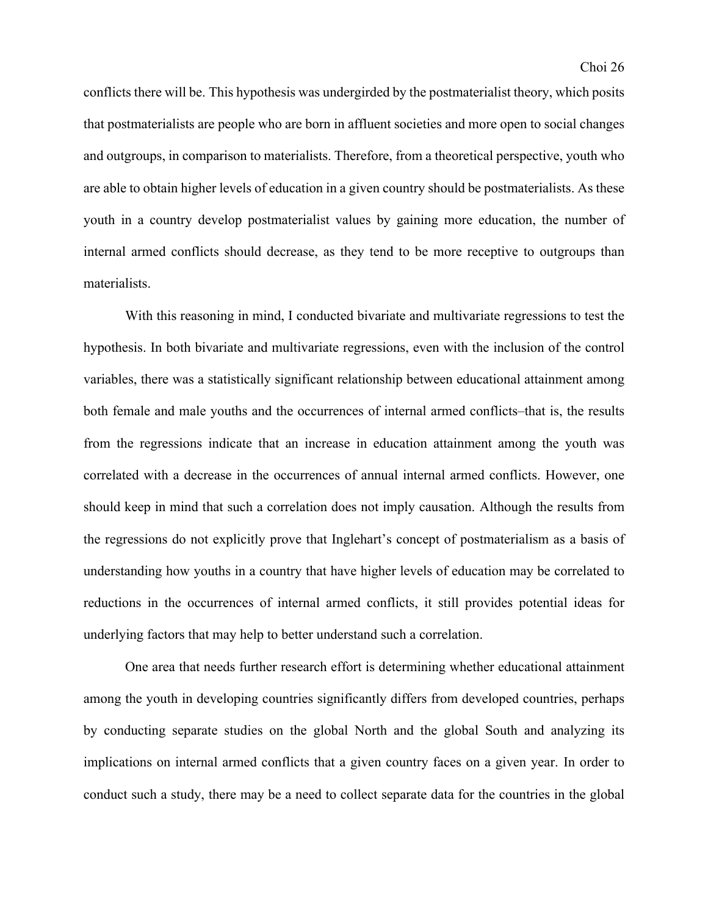conflicts there will be. This hypothesis was undergirded by the postmaterialist theory, which posits that postmaterialists are people who are born in affluent societies and more open to social changes and outgroups, in comparison to materialists. Therefore, from a theoretical perspective, youth who are able to obtain higher levels of education in a given country should be postmaterialists. As these youth in a country develop postmaterialist values by gaining more education, the number of internal armed conflicts should decrease, as they tend to be more receptive to outgroups than materialists.

With this reasoning in mind, I conducted bivariate and multivariate regressions to test the hypothesis. In both bivariate and multivariate regressions, even with the inclusion of the control variables, there was a statistically significant relationship between educational attainment among both female and male youths and the occurrences of internal armed conflicts–that is, the results from the regressions indicate that an increase in education attainment among the youth was correlated with a decrease in the occurrences of annual internal armed conflicts. However, one should keep in mind that such a correlation does not imply causation. Although the results from the regressions do not explicitly prove that Inglehart's concept of postmaterialism as a basis of understanding how youths in a country that have higher levels of education may be correlated to reductions in the occurrences of internal armed conflicts, it still provides potential ideas for underlying factors that may help to better understand such a correlation.

One area that needs further research effort is determining whether educational attainment among the youth in developing countries significantly differs from developed countries, perhaps by conducting separate studies on the global North and the global South and analyzing its implications on internal armed conflicts that a given country faces on a given year. In order to conduct such a study, there may be a need to collect separate data for the countries in the global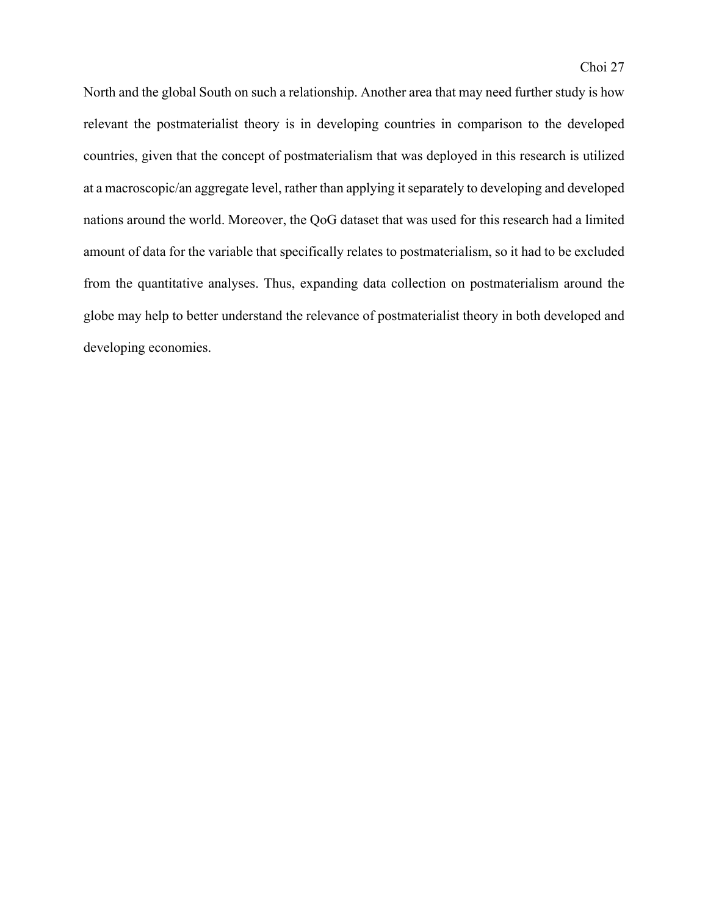North and the global South on such a relationship. Another area that may need further study is how relevant the postmaterialist theory is in developing countries in comparison to the developed countries, given that the concept of postmaterialism that was deployed in this research is utilized at a macroscopic/an aggregate level, rather than applying it separately to developing and developed nations around the world. Moreover, the QoG dataset that was used for this research had a limited amount of data for the variable that specifically relates to postmaterialism, so it had to be excluded from the quantitative analyses. Thus, expanding data collection on postmaterialism around the globe may help to better understand the relevance of postmaterialist theory in both developed and developing economies.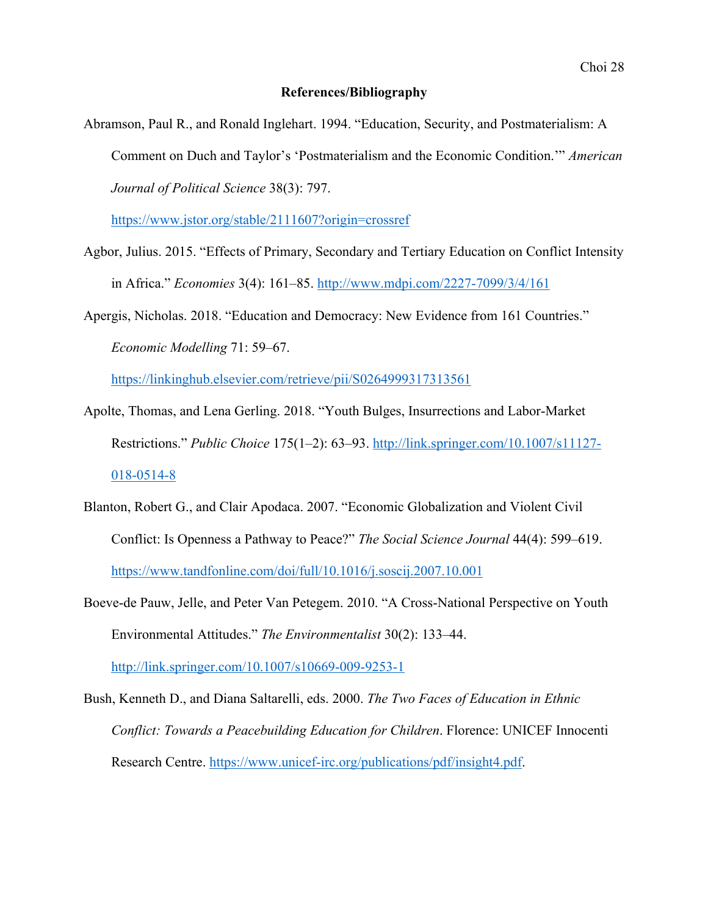#### **References/Bibliography**

Abramson, Paul R., and Ronald Inglehart. 1994. "Education, Security, and Postmaterialism: A Comment on Duch and Taylor's 'Postmaterialism and the Economic Condition.'" *American Journal of Political Science* 38(3): 797.

https://www.jstor.org/stable/2111607?origin=crossref

- Agbor, Julius. 2015. "Effects of Primary, Secondary and Tertiary Education on Conflict Intensity in Africa." *Economies* 3(4): 161–85. http://www.mdpi.com/2227-7099/3/4/161
- Apergis, Nicholas. 2018. "Education and Democracy: New Evidence from 161 Countries." *Economic Modelling* 71: 59–67.

https://linkinghub.elsevier.com/retrieve/pii/S0264999317313561

- Apolte, Thomas, and Lena Gerling. 2018. "Youth Bulges, Insurrections and Labor-Market Restrictions." *Public Choice* 175(1–2): 63–93. http://link.springer.com/10.1007/s11127- 018-0514-8
- Blanton, Robert G., and Clair Apodaca. 2007. "Economic Globalization and Violent Civil Conflict: Is Openness a Pathway to Peace?" *The Social Science Journal* 44(4): 599–619. https://www.tandfonline.com/doi/full/10.1016/j.soscij.2007.10.001
- Boeve-de Pauw, Jelle, and Peter Van Petegem. 2010. "A Cross-National Perspective on Youth Environmental Attitudes." *The Environmentalist* 30(2): 133–44. http://link.springer.com/10.1007/s10669-009-9253-1

Bush, Kenneth D., and Diana Saltarelli, eds. 2000. *The Two Faces of Education in Ethnic Conflict: Towards a Peacebuilding Education for Children*. Florence: UNICEF Innocenti Research Centre. https://www.unicef-irc.org/publications/pdf/insight4.pdf.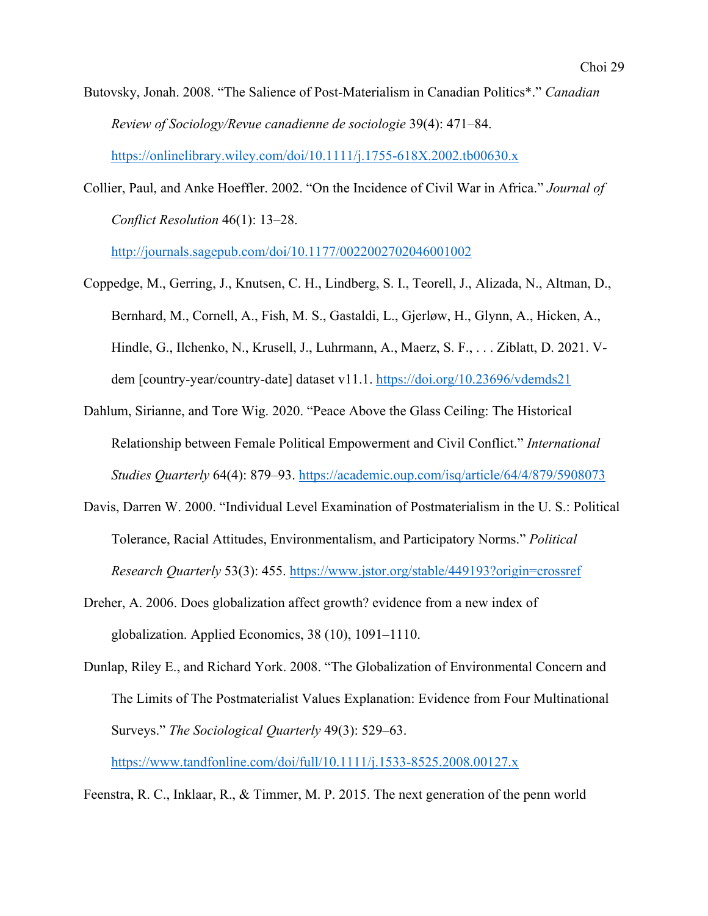Butovsky, Jonah. 2008. "The Salience of Post-Materialism in Canadian Politics\*." *Canadian Review of Sociology/Revue canadienne de sociologie* 39(4): 471–84.

https://onlinelibrary.wiley.com/doi/10.1111/j.1755-618X.2002.tb00630.x

Collier, Paul, and Anke Hoeffler. 2002. "On the Incidence of Civil War in Africa." *Journal of Conflict Resolution* 46(1): 13–28.

http://journals.sagepub.com/doi/10.1177/0022002702046001002

- Coppedge, M., Gerring, J., Knutsen, C. H., Lindberg, S. I., Teorell, J., Alizada, N., Altman, D., Bernhard, M., Cornell, A., Fish, M. S., Gastaldi, L., Gjerløw, H., Glynn, A., Hicken, A., Hindle, G., Ilchenko, N., Krusell, J., Luhrmann, A., Maerz, S. F., . . . Ziblatt, D. 2021. V dem [country-year/country-date] dataset v11.1. https://doi.org/10.23696/vdemds21
- Dahlum, Sirianne, and Tore Wig. 2020. "Peace Above the Glass Ceiling: The Historical Relationship between Female Political Empowerment and Civil Conflict." *International Studies Quarterly* 64(4): 879–93. https://academic.oup.com/isq/article/64/4/879/5908073
- Davis, Darren W. 2000. "Individual Level Examination of Postmaterialism in the U. S.: Political Tolerance, Racial Attitudes, Environmentalism, and Participatory Norms." *Political Research Quarterly* 53(3): 455. https://www.jstor.org/stable/449193?origin=crossref
- Dreher, A. 2006. Does globalization affect growth? evidence from a new index of globalization. Applied Economics, 38 (10), 1091–1110.
- Dunlap, Riley E., and Richard York. 2008. "The Globalization of Environmental Concern and The Limits of The Postmaterialist Values Explanation: Evidence from Four Multinational Surveys." *The Sociological Quarterly* 49(3): 529–63.

https://www.tandfonline.com/doi/full/10.1111/j.1533-8525.2008.00127.x

Feenstra, R. C., Inklaar, R., & Timmer, M. P. 2015. The next generation of the penn world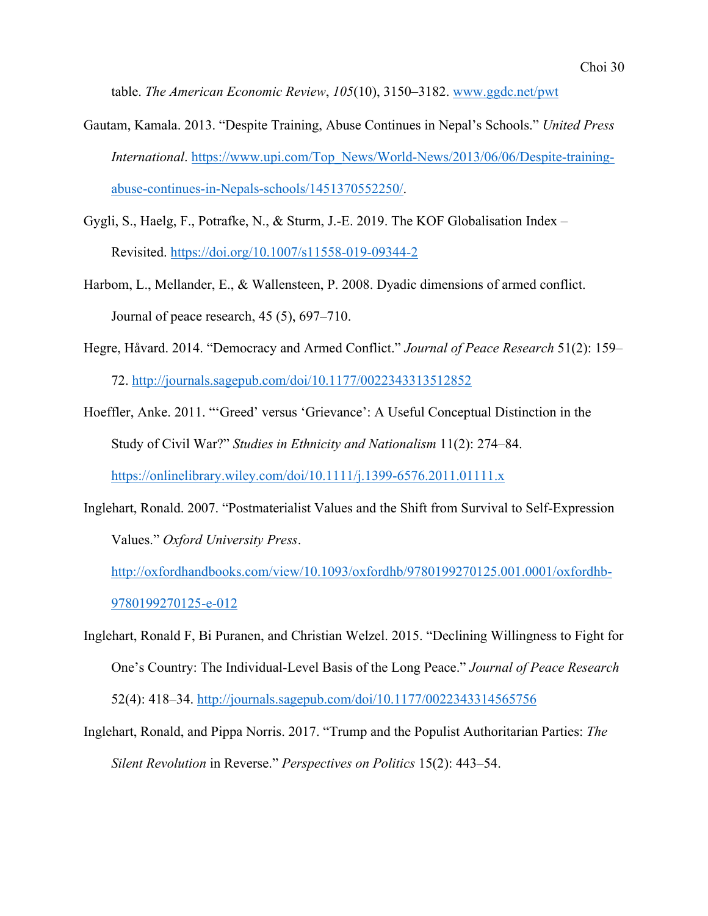table. *The American Economic Review*, *105*(10), 3150–3182. www.ggdc.net/pwt

- Gautam, Kamala. 2013. "Despite Training, Abuse Continues in Nepal's Schools." *United Press International*. https://www.upi.com/Top\_News/World-News/2013/06/06/Despite-trainingabuse-continues-in-Nepals-schools/1451370552250/.
- Gygli, S., Haelg, F., Potrafke, N., & Sturm, J.-E. 2019. The KOF Globalisation Index Revisited. https://doi.org/10.1007/s11558-019-09344-2
- Harbom, L., Mellander, E., & Wallensteen, P. 2008. Dyadic dimensions of armed conflict. Journal of peace research, 45 (5), 697–710.
- Hegre, Håvard. 2014. "Democracy and Armed Conflict." *Journal of Peace Research* 51(2): 159– 72. http://journals.sagepub.com/doi/10.1177/0022343313512852
- Hoeffler, Anke. 2011. "'Greed' versus 'Grievance': A Useful Conceptual Distinction in the Study of Civil War?" *Studies in Ethnicity and Nationalism* 11(2): 274–84. https://onlinelibrary.wiley.com/doi/10.1111/j.1399-6576.2011.01111.x
- Inglehart, Ronald. 2007. "Postmaterialist Values and the Shift from Survival to Self‐Expression Values." *Oxford University Press*.

http://oxfordhandbooks.com/view/10.1093/oxfordhb/9780199270125.001.0001/oxfordhb-9780199270125-e-012

- Inglehart, Ronald F, Bi Puranen, and Christian Welzel. 2015. "Declining Willingness to Fight for One's Country: The Individual-Level Basis of the Long Peace." *Journal of Peace Research* 52(4): 418–34. http://journals.sagepub.com/doi/10.1177/0022343314565756
- Inglehart, Ronald, and Pippa Norris. 2017. "Trump and the Populist Authoritarian Parties: *The Silent Revolution* in Reverse." *Perspectives on Politics* 15(2): 443–54.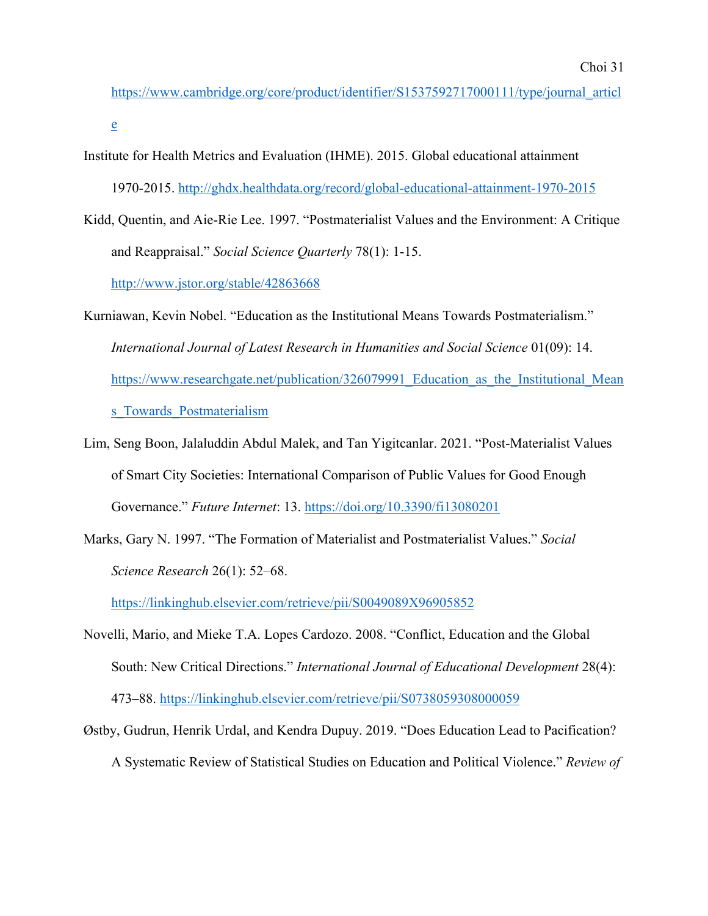https://www.cambridge.org/core/product/identifier/S1537592717000111/type/journal\_articl e

- Institute for Health Metrics and Evaluation (IHME). 2015. Global educational attainment 1970-2015. http://ghdx.healthdata.org/record/global-educational-attainment-1970-2015
- Kidd, Quentin, and Aie-Rie Lee. 1997. "Postmaterialist Values and the Environment: A Critique and Reappraisal." *Social Science Quarterly* 78(1): 1-15.

http://www.jstor.org/stable/42863668

- Kurniawan, Kevin Nobel. "Education as the Institutional Means Towards Postmaterialism." *International Journal of Latest Research in Humanities and Social Science* 01(09): 14. https://www.researchgate.net/publication/326079991\_Education\_as\_the\_Institutional\_Mean s Towards Postmaterialism
- Lim, Seng Boon, Jalaluddin Abdul Malek, and Tan Yigitcanlar. 2021. "Post-Materialist Values of Smart City Societies: International Comparison of Public Values for Good Enough Governance." *Future Internet*: 13. https://doi.org/10.3390/fi13080201
- Marks, Gary N. 1997. "The Formation of Materialist and Postmaterialist Values." *Social Science Research* 26(1): 52–68.

https://linkinghub.elsevier.com/retrieve/pii/S0049089X96905852

- Novelli, Mario, and Mieke T.A. Lopes Cardozo. 2008. "Conflict, Education and the Global South: New Critical Directions." *International Journal of Educational Development* 28(4): 473–88. https://linkinghub.elsevier.com/retrieve/pii/S0738059308000059
- Østby, Gudrun, Henrik Urdal, and Kendra Dupuy. 2019. "Does Education Lead to Pacification? A Systematic Review of Statistical Studies on Education and Political Violence." *Review of*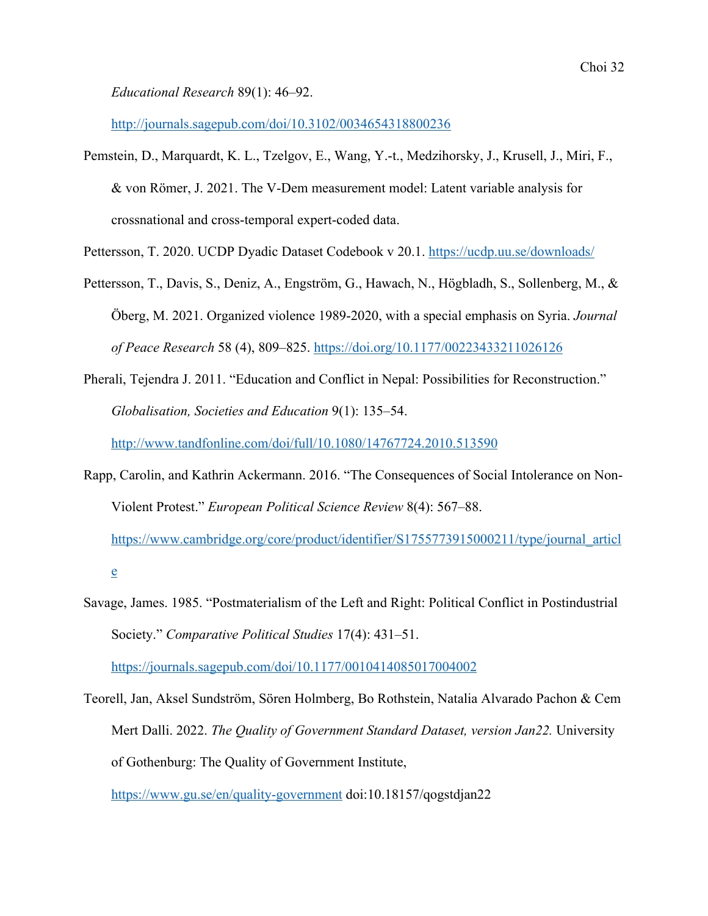*Educational Research* 89(1): 46–92.

http://journals.sagepub.com/doi/10.3102/0034654318800236

Pemstein, D., Marquardt, K. L., Tzelgov, E., Wang, Y.-t., Medzihorsky, J., Krusell, J., Miri, F., & von Römer, J. 2021. The V-Dem measurement model: Latent variable analysis for crossnational and cross-temporal expert-coded data.

Pettersson, T. 2020. UCDP Dyadic Dataset Codebook v 20.1. https://ucdp.uu.se/downloads/

- Pettersson, T., Davis, S., Deniz, A., Engström, G., Hawach, N., Högbladh, S., Sollenberg, M., & Öberg, M. 2021. Organized violence 1989-2020, with a special emphasis on Syria. *Journal of Peace Research* 58 (4), 809–825. https://doi.org/10.1177/00223433211026126
- Pherali, Tejendra J. 2011. "Education and Conflict in Nepal: Possibilities for Reconstruction." *Globalisation, Societies and Education* 9(1): 135–54.

http://www.tandfonline.com/doi/full/10.1080/14767724.2010.513590

Rapp, Carolin, and Kathrin Ackermann. 2016. "The Consequences of Social Intolerance on Non-Violent Protest." *European Political Science Review* 8(4): 567–88.

https://www.cambridge.org/core/product/identifier/S1755773915000211/type/journal\_articl e

Savage, James. 1985. "Postmaterialism of the Left and Right: Political Conflict in Postindustrial Society." *Comparative Political Studies* 17(4): 431–51. https://journals.sagepub.com/doi/10.1177/0010414085017004002

Teorell, Jan, Aksel Sundström, Sören Holmberg, Bo Rothstein, Natalia Alvarado Pachon & Cem

 Mert Dalli. 2022. *The Quality of Government Standard Dataset, version Jan22.* University of Gothenburg: The Quality of Government Institute,

https://www.gu.se/en/quality-government doi:10.18157/qogstdjan22